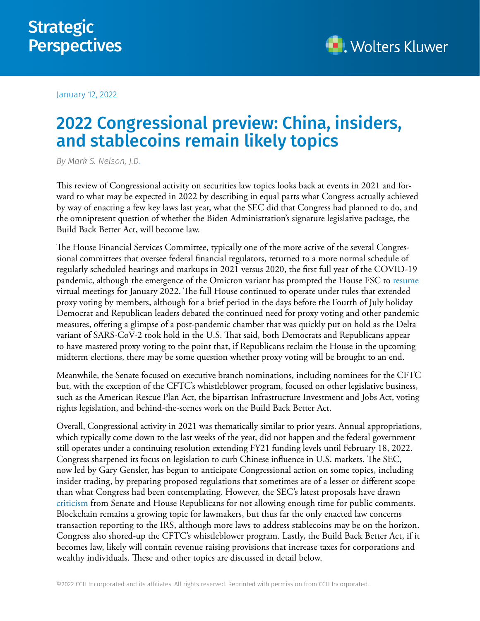January 12, 2022

# 2022 Congressional preview: China, insiders, and stablecoins remain likely topics

*By Mark S. Nelson, J.D.*

This review of Congressional activity on securities law topics looks back at events in 2021 and forward to what may be expected in 2022 by describing in equal parts what Congress actually achieved by way of enacting a few key laws last year, what the SEC did that Congress had planned to do, and the omnipresent question of whether the Biden Administration's signature legislative package, the Build Back Better Act, will become law.

The House Financial Services Committee, typically one of the more active of the several Congressional committees that oversee federal financial regulators, returned to a more normal schedule of regularly scheduled hearings and markups in 2021 versus 2020, the first full year of the COVID-19 pandemic, although the emergence of the Omicron variant has prompted the House FSC to [resume](https://financialservices.house.gov/news/documentsingle.aspx?DocumentID=408927”) virtual meetings for January 2022. The full House continued to operate under rules that extended proxy voting by members, although for a brief period in the days before the Fourth of July holiday Democrat and Republican leaders debated the continued need for proxy voting and other pandemic measures, offering a glimpse of a post-pandemic chamber that was quickly put on hold as the Delta variant of SARS-CoV-2 took hold in the U.S. That said, both Democrats and Republicans appear to have mastered proxy voting to the point that, if Republicans reclaim the House in the upcoming midterm elections, there may be some question whether proxy voting will be brought to an end.

Meanwhile, the Senate focused on executive branch nominations, including nominees for the CFTC but, with the exception of the CFTC's whistleblower program, focused on other legislative business, such as the American Rescue Plan Act, the bipartisan Infrastructure Investment and Jobs Act, voting rights legislation, and behind-the-scenes work on the Build Back Better Act.

Overall, Congressional activity in 2021 was thematically similar to prior years. Annual appropriations, which typically come down to the last weeks of the year, did not happen and the federal government still operates under a continuing resolution extending FY21 funding levels until February 18, 2022. Congress sharpened its focus on legislation to curb Chinese influence in U.S. markets. The SEC, now led by Gary Gensler, has begun to anticipate Congressional action on some topics, including insider trading, by preparing proposed regulations that sometimes are of a lesser or different scope than what Congress had been contemplating. However, the SEC's latest proposals have drawn [criticism](https://republicans-financialservices.house.gov/uploadedfiles/2022-01-10_pmc_toomey_letter-gensler_sec_comment_period.pdf) from Senate and House Republicans for not allowing enough time for public comments. Blockchain remains a growing topic for lawmakers, but thus far the only enacted law concerns transaction reporting to the IRS, although more laws to address stablecoins may be on the horizon. Congress also shored-up the CFTC's whistleblower program. Lastly, the Build Back Better Act, if it becomes law, likely will contain revenue raising provisions that increase taxes for corporations and wealthy individuals. These and other topics are discussed in detail below.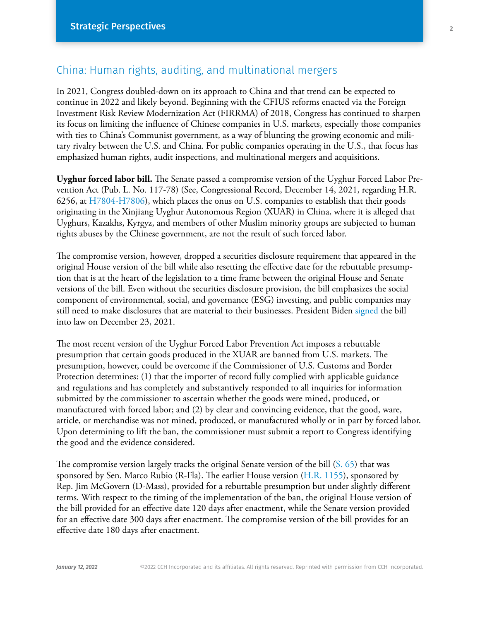## China: Human rights, auditing, and multinational mergers

In 2021, Congress doubled-down on its approach to China and that trend can be expected to continue in 2022 and likely beyond. Beginning with the CFIUS reforms enacted via the Foreign Investment Risk Review Modernization Act (FIRRMA) of 2018, Congress has continued to sharpen its focus on limiting the influence of Chinese companies in U.S. markets, especially those companies with ties to China's Communist government, as a way of blunting the growing economic and military rivalry between the U.S. and China. For public companies operating in the U.S., that focus has emphasized human rights, audit inspections, and multinational mergers and acquisitions.

**Uyghur forced labor bill.** The Senate passed a compromise version of the Uyghur Forced Labor Prevention Act (Pub. L. No. 117-78) (See, Congressional Record, December 14, 2021, regarding H.R. 6256, at [H7804-H7806\)](https://www.congress.gov/117/crec/2021/12/14/167/215/CREC-2021-12-14.pdf), which places the onus on U.S. companies to establish that their goods originating in the Xinjiang Uyghur Autonomous Region (XUAR) in China, where it is alleged that Uyghurs, Kazakhs, Kyrgyz, and members of other Muslim minority groups are subjected to human rights abuses by the Chinese government, are not the result of such forced labor.

The compromise version, however, dropped a securities disclosure requirement that appeared in the original House version of the bill while also resetting the effective date for the rebuttable presumption that is at the heart of the legislation to a time frame between the original House and Senate versions of the bill. Even without the securities disclosure provision, the bill emphasizes the social component of environmental, social, and governance (ESG) investing, and public companies may still need to make disclosures that are material to their businesses. President Biden [signed](https://www.whitehouse.gov/briefing-room/statements-releases/2021/12/23/bill-signed-h-r-6256/) the bill into law on December 23, 2021.

The most recent version of the Uyghur Forced Labor Prevention Act imposes a rebuttable presumption that certain goods produced in the XUAR are banned from U.S. markets. The presumption, however, could be overcome if the Commissioner of U.S. Customs and Border Protection determines: (1) that the importer of record fully complied with applicable guidance and regulations and has completely and substantively responded to all inquiries for information submitted by the commissioner to ascertain whether the goods were mined, produced, or manufactured with forced labor; and (2) by clear and convincing evidence, that the good, ware, article, or merchandise was not mined, produced, or manufactured wholly or in part by forced labor. Upon determining to lift the ban, the commissioner must submit a report to Congress identifying the good and the evidence considered.

The compromise version largely tracks the original Senate version of the bill [\(S. 65](https://www.congress.gov/117/bills/s65/BILLS-117s65es.pdf)) that was sponsored by Sen. Marco Rubio (R-Fla). The earlier House version [\(H.R. 1155\)](https://docs.house.gov/billsthisweek/20211206/BILLS-117hr1155-SUSv1.pdf), sponsored by Rep. Jim McGovern (D-Mass), provided for a rebuttable presumption but under slightly different terms. With respect to the timing of the implementation of the ban, the original House version of the bill provided for an effective date 120 days after enactment, while the Senate version provided for an effective date 300 days after enactment. The compromise version of the bill provides for an effective date 180 days after enactment.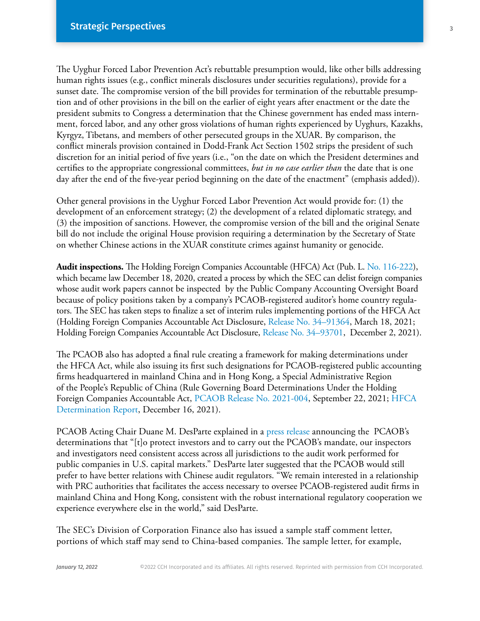The Uyghur Forced Labor Prevention Act's rebuttable presumption would, like other bills addressing human rights issues (e.g., conflict minerals disclosures under securities regulations), provide for a sunset date. The compromise version of the bill provides for termination of the rebuttable presumption and of other provisions in the bill on the earlier of eight years after enactment or the date the president submits to Congress a determination that the Chinese government has ended mass internment, forced labor, and any other gross violations of human rights experienced by Uyghurs, Kazakhs, Kyrgyz, Tibetans, and members of other persecuted groups in the XUAR. By comparison, the conflict minerals provision contained in Dodd-Frank Act Section 1502 strips the president of such discretion for an initial period of five years (i.e., "on the date on which the President determines and certifies to the appropriate congressional committees, *but in no case earlier than* the date that is one day after the end of the five-year period beginning on the date of the enactment" (emphasis added)).

Other general provisions in the Uyghur Forced Labor Prevention Act would provide for: (1) the development of an enforcement strategy; (2) the development of a related diplomatic strategy, and (3) the imposition of sanctions. However, the compromise version of the bill and the original Senate bill do not include the original House provision requiring a determination by the Secretary of State on whether Chinese actions in the XUAR constitute crimes against humanity or genocide.

**Audit inspections.** The Holding Foreign Companies Accountable (HFCA) Act (Pub. L. No. 116-222), which became law December 18, 2020, created a process by which the SEC can delist foreign companies whose audit work papers cannot be inspected by the Public Company Accounting Oversight Board because of policy positions taken by a company's PCAOB-registered auditor's home country regulators. The SEC has taken steps to finalize a set of interim rules implementing portions of the HFCA Act (Holding Foreign Companies Accountable Act Disclosure, [Release No. 34–91364](https://www.govinfo.gov/content/pkg/FR-2021-04-05/pdf/2021-06292.pdf), March 18, 2021; Holding Foreign Companies Accountable Act Disclosure, [Release No. 34–93701,](https://www.govinfo.gov/content/pkg/FR-2021-12-09/pdf/2021-26528.pdf) December 2, 2021).

The PCAOB also has adopted a final rule creating a framework for making determinations under the HFCA Act, while also issuing its first such designations for PCAOB-registered public accounting firms headquartered in mainland China and in Hong Kong, a Special Administrative Region of the People's Republic of China (Rule Governing Board Determinations Under the Holding Foreign Companies Accountable Act, [PCAOB Release No. 2021-004](https://pcaob-assets.azureedge.net/pcaob-dev/docs/default-source/rulemaking/docket048/2021-004-hfcaa-adopting-release.pdf?sfvrsn=f6dfb7f8_4), September 22, 2021; [HFCA](https://pcaob-assets.azureedge.net/pcaob-dev/docs/default-source/international/documents/104-hfcaa-2021-001.pdf?sfvrsn=acc3b380_4)  [Determination Report](https://pcaob-assets.azureedge.net/pcaob-dev/docs/default-source/international/documents/104-hfcaa-2021-001.pdf?sfvrsn=acc3b380_4), December 16, 2021).

PCAOB Acting Chair Duane M. DesParte explained in a press release announcing the PCAOB's determinations that "[t]o protect investors and to carry out the PCAOB's mandate, our inspectors and investigators need consistent access across all jurisdictions to the audit work performed for public companies in U.S. capital markets." DesParte later suggested that the PCAOB would still prefer to have better relations with Chinese audit regulators. "We remain interested in a relationship with PRC authorities that facilitates the access necessary to oversee PCAOB-registered audit firms in mainland China and Hong Kong, consistent with the robust international regulatory cooperation we experience everywhere else in the world," said DesParte.

The SEC's Division of Corporation Finance also has issued a sample staff comment letter, portions of which staff may send to China-based companies. The sample letter, for example,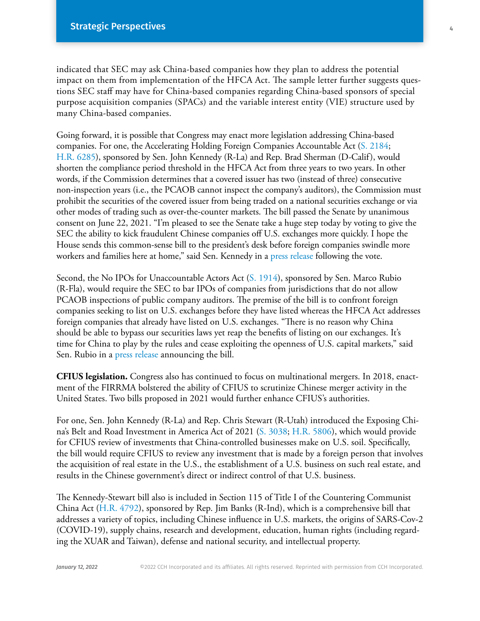indicated that SEC may ask China-based companies how they plan to address the potential impact on them from implementation of the HFCA Act. The sample letter further suggests questions SEC staff may have for China-based companies regarding China-based sponsors of special purpose acquisition companies (SPACs) and the variable interest entity (VIE) structure used by many China-based companies.

Going forward, it is possible that Congress may enact more legislation addressing China-based companies. For one, the Accelerating Holding Foreign Companies Accountable Act [\(S. 2184;](https://www.congress.gov/117/bills/s2184/BILLS-117s2184cps.pdf) [H.R. 6285\)](https://www.congress.gov/117/bills/hr6285/BILLS-117hr6285ih.pdf), sponsored by Sen. John Kennedy (R-La) and Rep. Brad Sherman (D-Calif), would shorten the compliance period threshold in the HFCA Act from three years to two years. In other words, if the Commission determines that a covered issuer has two (instead of three) consecutive non-inspection years (i.e., the PCAOB cannot inspect the company's auditors), the Commission must prohibit the securities of the covered issuer from being traded on a national securities exchange or via other modes of trading such as over-the-counter markets. The bill passed the Senate by unanimous consent on June 22, 2021. "I'm pleased to see the Senate take a huge step today by voting to give the SEC the ability to kick fraudulent Chinese companies off U.S. exchanges more quickly. I hope the House sends this common-sense bill to the president's desk before foreign companies swindle more workers and families here at home," said Sen. Kennedy in a press release following the vote.

Second, the No IPOs for Unaccountable Actors Act (S. 1914), sponsored by Sen. Marco Rubio (R-Fla), would require the SEC to bar IPOs of companies from jurisdictions that do not allow PCAOB inspections of public company auditors. The premise of the bill is to confront foreign companies seeking to list on U.S. exchanges before they have listed whereas the HFCA Act addresses foreign companies that already have listed on U.S. exchanges. "There is no reason why China should be able to bypass our securities laws yet reap the benefits of listing on our exchanges. It's time for China to play by the rules and cease exploiting the openness of U.S. capital markets," said Sen. Rubio in a [press release](https://www.rubio.senate.gov/public/index.cfm/press-releases?ID=BAE3E336-D0DA-4298-A285-B8820A5A782E) announcing the bill.

**CFIUS legislation.** Congress also has continued to focus on multinational mergers. In 2018, enactment of the FIRRMA bolstered the ability of CFIUS to scrutinize Chinese merger activity in the United States. Two bills proposed in 2021 would further enhance CFIUS's authorities.

For one, Sen. John Kennedy (R-La) and Rep. Chris Stewart (R-Utah) introduced the Exposing China's Belt and Road Investment in America Act of 2021 ([S. 3038;](https://www.congress.gov/117/bills/s3038/BILLS-117s3038is.pdf) [H.R. 5806](https://www.congress.gov/117/bills/hr5806/BILLS-117hr5806ih.pdf)), which would provide for CFIUS review of investments that China-controlled businesses make on U.S. soil. Specifically, the bill would require CFIUS to review any investment that is made by a foreign person that involves the acquisition of real estate in the U.S., the establishment of a U.S. business on such real estate, and results in the Chinese government's direct or indirect control of that U.S. business.

The Kennedy-Stewart bill also is included in Section 115 of Title I of the Countering Communist China Act (H.R. 4792), sponsored by Rep. Jim Banks (R-Ind), which is a comprehensive bill that addresses a variety of topics, including Chinese influence in U.S. markets, the origins of SARS-Cov-2 (COVID-19), supply chains, research and development, education, human rights (including regarding the XUAR and Taiwan), defense and national security, and intellectual property.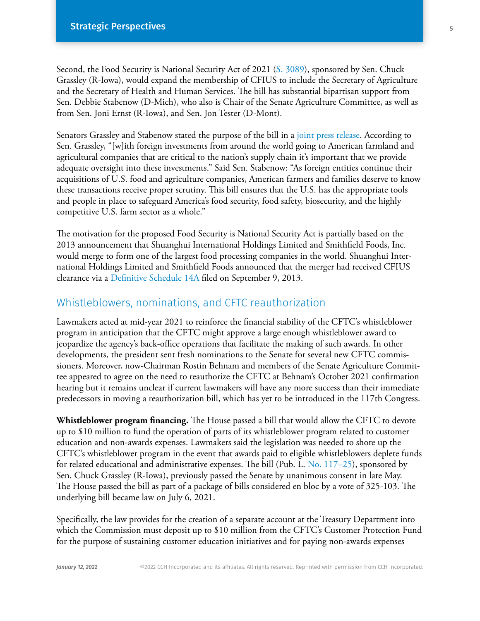Second, the Food Security is National Security Act of 2021 (S. 3089), sponsored by Sen. Chuck Grassley (R-Iowa), would expand the membership of CFIUS to include the Secretary of Agriculture and the Secretary of Health and Human Services. The bill has substantial bipartisan support from Sen. Debbie Stabenow (D-Mich), who also is Chair of the Senate Agriculture Committee, as well as from Sen. Joni Ernst (R-Iowa), and Sen. Jon Tester (D-Mont).

Senators Grassley and Stabenow stated the purpose of the bill in a [joint press release.](https://www.grassley.senate.gov/news/news-releases/grassley-stabenow-ernst-tester-introduce-bipartisan-legislation-to-protect-american-agricultural-interests-in-foreign-acquisitions) According to Sen. Grassley, "[w]ith foreign investments from around the world going to American farmland and agricultural companies that are critical to the nation's supply chain it's important that we provide adequate oversight into these investments." Said Sen. Stabenow: "As foreign entities continue their acquisitions of U.S. food and agriculture companies, American farmers and families deserve to know these transactions receive proper scrutiny. This bill ensures that the U.S. has the appropriate tools and people in place to safeguard America's food security, food safety, biosecurity, and the highly competitive U.S. farm sector as a whole."

The motivation for the proposed Food Security is National Security Act is partially based on the 2013 announcement that Shuanghui International Holdings Limited and Smithfield Foods, Inc. would merge to form one of the largest food processing companies in the world. Shuanghui International Holdings Limited and Smithfield Foods announced that the merger had received CFIUS clearance via a Definitive Schedule 14A filed on September 9, 2013.

#### Whistleblowers, nominations, and CFTC reauthorization

Lawmakers acted at mid-year 2021 to reinforce the financial stability of the CFTC's whistleblower program in anticipation that the CFTC might approve a large enough whistleblower award to jeopardize the agency's back-office operations that facilitate the making of such awards. In other developments, the president sent fresh nominations to the Senate for several new CFTC commissioners. Moreover, now-Chairman Rostin Behnam and members of the Senate Agriculture Committee appeared to agree on the need to reauthorize the CFTC at Behnam's October 2021 confirmation hearing but it remains unclear if current lawmakers will have any more success than their immediate predecessors in moving a reauthorization bill, which has yet to be introduced in the 117th Congress.

**Whistleblower program financing.** The House passed a bill that would allow the CFTC to devote up to \$10 million to fund the operation of parts of its whistleblower program related to customer education and non-awards expenses. Lawmakers said the legislation was needed to shore up the CFTC's whistleblower program in the event that awards paid to eligible whistleblowers deplete funds for related educational and administrative expenses. The bill (Pub. L. No.  $117-25$ ), sponsored by Sen. Chuck Grassley (R-Iowa), previously passed the Senate by unanimous consent in late May. The House passed the bill as part of a package of bills considered en bloc by a vote of 325-103. The underlying bill became law on July 6, 2021.

Specifically, the law provides for the creation of a separate account at the Treasury Department into which the Commission must deposit up to \$10 million from the CFTC's Customer Protection Fund for the purpose of sustaining customer education initiatives and for paying non-awards expenses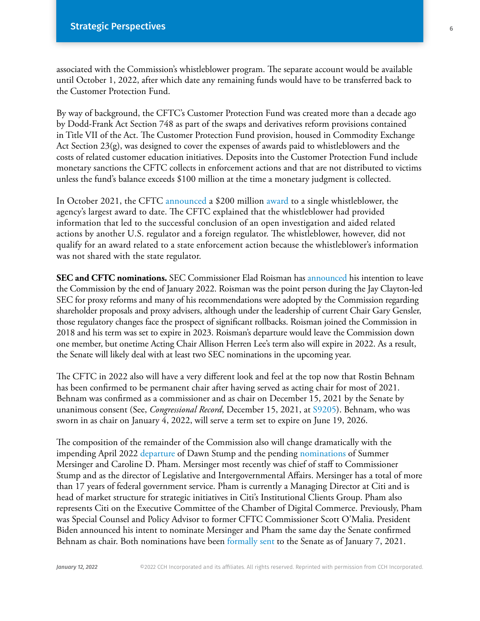associated with the Commission's whistleblower program. The separate account would be available until October 1, 2022, after which date any remaining funds would have to be transferred back to the Customer Protection Fund.

By way of background, the CFTC's Customer Protection Fund was created more than a decade ago by Dodd-Frank Act Section 748 as part of the swaps and derivatives reform provisions contained in Title VII of the Act. The Customer Protection Fund provision, housed in Commodity Exchange Act Section 23(g), was designed to cover the expenses of awards paid to whistleblowers and the costs of related customer education initiatives. Deposits into the Customer Protection Fund include monetary sanctions the CFTC collects in enforcement actions and that are not distributed to victims unless the fund's balance exceeds \$100 million at the time a monetary judgment is collected.

In October 2021, the CFTC [announced](https://business.cch.com/srd/8453-21.pdf) a \$200 million [award](https://business.cch.com/srd/No21-WB-07.pdf) to a single whistleblower, the agency's largest award to date. The CFTC explained that the whistleblower had provided information that led to the successful conclusion of an open investigation and aided related actions by another U.S. regulator and a foreign regulator. The whistleblower, however, did not qualify for an award related to a state enforcement action because the whistleblower's information was not shared with the state regulator.

**SEC and CFTC nominations.** SEC Commissioner Elad Roisman has announced his intention to leave the Commission by the end of January 2022. Roisman was the point person during the Jay Clayton-led SEC for proxy reforms and many of his recommendations were adopted by the Commission regarding shareholder proposals and proxy advisers, although under the leadership of current Chair Gary Gensler, those regulatory changes face the prospect of significant rollbacks. Roisman joined the Commission in 2018 and his term was set to expire in 2023. Roisman's departure would leave the Commission down one member, but onetime Acting Chair Allison Herren Lee's term also will expire in 2022. As a result, the Senate will likely deal with at least two SEC nominations in the upcoming year.

The CFTC in 2022 also will have a very different look and feel at the top now that Rostin Behnam has been confirmed to be permanent chair after having served as acting chair for most of 2021. Behnam was confirmed as a commissioner and as chair on December 15, 2021 by the Senate by unanimous consent (See, *Congressional Record*, December 15, 2021, at [S9205](https://www.congress.gov/117/crec/2021/12/15/167/216/CREC-2021-12-15.pdf)). Behnam, who was sworn in as chair on January 4, 2022, will serve a term set to expire on June 19, 2026.

The composition of the remainder of the Commission also will change dramatically with the impending April 2022 [departure](https://www.cftc.gov/PressRoom/SpeechesTestimony/stumpstatement120921) of Dawn Stump and the pending nominations of Summer Mersinger and Caroline D. Pham. Mersinger most recently was chief of staff to Commissioner Stump and as the director of Legislative and Intergovernmental Affairs. Mersinger has a total of more than 17 years of federal government service. Pham is currently a Managing Director at Citi and is head of market structure for strategic initiatives in Citi's Institutional Clients Group. Pham also represents Citi on the Executive Committee of the Chamber of Digital Commerce. Previously, Pham was Special Counsel and Policy Advisor to former CFTC Commissioner Scott O'Malia. President Biden announced his intent to nominate Mersinger and Pham the same day the Senate confirmed Behnam as chair. Both nominations have been [formally sent](https://www.whitehouse.gov/briefing-room/statements-releases/2022/01/07/nominations-sent-to-the-senate-55/) to the Senate as of January 7, 2021.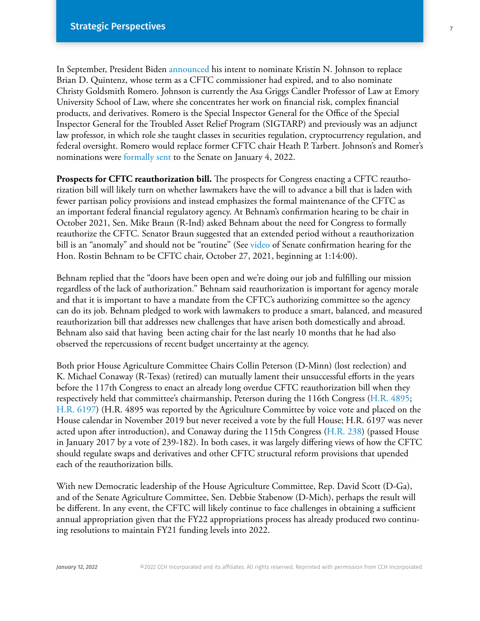In September, President Biden [announced](https://www.whitehouse.gov/briefing-room/statements-releases/2021/09/13/president-biden-announces-10-key-nominations-2/) his intent to nominate Kristin N. Johnson to replace Brian D. Quintenz, whose term as a CFTC commissioner had expired, and to also nominate Christy Goldsmith Romero. Johnson is currently the Asa Griggs Candler Professor of Law at Emory University School of Law, where she concentrates her work on financial risk, complex financial products, and derivatives. Romero is the Special Inspector General for the Office of the Special Inspector General for the Troubled Asset Relief Program (SIGTARP) and previously was an adjunct law professor, in which role she taught classes in securities regulation, cryptocurrency regulation, and federal oversight. Romero would replace former CFTC chair Heath P. Tarbert. Johnson's and Romer's nominations were formally sent to the Senate on January 4, 2022.

**Prospects for CFTC reauthorization bill.** The prospects for Congress enacting a CFTC reauthorization bill will likely turn on whether lawmakers have the will to advance a bill that is laden with fewer partisan policy provisions and instead emphasizes the formal maintenance of the CFTC as an important federal financial regulatory agency. At Behnam's confirmation hearing to be chair in October 2021, Sen. Mike Braun (R-Ind) asked Behnam about the need for Congress to formally reauthorize the CFTC. Senator Braun suggested that an extended period without a reauthorization bill is an "anomaly" and should not be "routine" (See [video](https://www.agriculture.senate.gov/hearings/to-consider-the-following-nomination-the-honorable-rostin-behnam-of-maryland-to-be-chairman-and-a-commissioner-of-the-commodity-futures-trading-commission) of Senate confirmation hearing for the Hon. Rostin Behnam to be CFTC chair, October 27, 2021, beginning at 1:14:00).

Behnam replied that the "doors have been open and we're doing our job and fulfilling our mission regardless of the lack of authorization." Behnam said reauthorization is important for agency morale and that it is important to have a mandate from the CFTC's authorizing committee so the agency can do its job. Behnam pledged to work with lawmakers to produce a smart, balanced, and measured reauthorization bill that addresses new challenges that have arisen both domestically and abroad. Behnam also said that having been acting chair for the last nearly 10 months that he had also observed the repercussions of recent budget uncertainty at the agency.

Both prior House Agriculture Committee Chairs Collin Peterson (D-Minn) (lost reelection) and K. Michael Conaway (R-Texas) (retired) can mutually lament their unsuccessful efforts in the years before the 117th Congress to enact an already long overdue CFTC reauthorization bill when they respectively held that committee's chairmanship, Peterson during the 116th Congress [\(H.R. 4895;](https://www.congress.gov/116/bills/hr4895/BILLS-116hr4895rh.pdf) [H.R. 6197](https://www.congress.gov/116/bills/hr6197/BILLS-116hr6197ih.pdf)) (H.R. 4895 was reported by the Agriculture Committee by voice vote and placed on the House calendar in November 2019 but never received a vote by the full House; H.R. 6197 was never acted upon after introduction), and Conaway during the 115th Congress [\(H.R. 238](https://www.congress.gov/115/bills/hr238/BILLS-115hr238rfs.pdf)) (passed House in January 2017 by a vote of 239-182). In both cases, it was largely differing views of how the CFTC should regulate swaps and derivatives and other CFTC structural reform provisions that upended each of the reauthorization bills.

With new Democratic leadership of the House Agriculture Committee, Rep. David Scott (D-Ga), and of the Senate Agriculture Committee, Sen. Debbie Stabenow (D-Mich), perhaps the result will be different. In any event, the CFTC will likely continue to face challenges in obtaining a sufficient annual appropriation given that the FY22 appropriations process has already produced two continuing resolutions to maintain FY21 funding levels into 2022.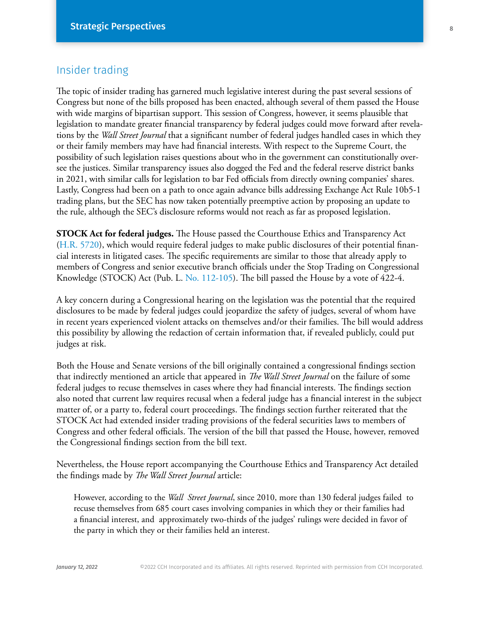## Insider trading

The topic of insider trading has garnered much legislative interest during the past several sessions of Congress but none of the bills proposed has been enacted, although several of them passed the House with wide margins of bipartisan support. This session of Congress, however, it seems plausible that legislation to mandate greater financial transparency by federal judges could move forward after revelations by the *Wall Street Journal* that a significant number of federal judges handled cases in which they or their family members may have had financial interests. With respect to the Supreme Court, the possibility of such legislation raises questions about who in the government can constitutionally oversee the justices. Similar transparency issues also dogged the Fed and the federal reserve district banks in 2021, with similar calls for legislation to bar Fed officials from directly owning companies' shares. Lastly, Congress had been on a path to once again advance bills addressing Exchange Act Rule 10b5-1 trading plans, but the SEC has now taken potentially preemptive action by proposing an update to the rule, although the SEC's disclosure reforms would not reach as far as proposed legislation.

**STOCK Act for federal judges.** The House passed the Courthouse Ethics and Transparency Act ([H.R. 5720](https://docs.house.gov/billsthisweek/20211129/BILLS-117hr5720-SUS.pdf)), which would require federal judges to make public disclosures of their potential financial interests in litigated cases. The specific requirements are similar to those that already apply to members of Congress and senior executive branch officials under the Stop Trading on Congressional Knowledge (STOCK) Act (Pub. L. [No. 112-105\)](https://www.congress.gov/112/plaws/publ105/PLAW-112publ105.pdf). The bill passed the House by a vote of 422-4.

A key concern during a Congressional hearing on the legislation was the potential that the required disclosures to be made by federal judges could jeopardize the safety of judges, several of whom have in recent years experienced violent attacks on themselves and/or their families. The bill would address this possibility by allowing the redaction of certain information that, if revealed publicly, could put judges at risk.

Both the House and Senate versions of the bill originally contained a congressional findings section that indirectly mentioned an article that appeared in *The Wall Street Journal* on the failure of some federal judges to recuse themselves in cases where they had financial interests. The findings section also noted that current law requires recusal when a federal judge has a financial interest in the subject matter of, or a party to, federal court proceedings. The findings section further reiterated that the STOCK Act had extended insider trading provisions of the federal securities laws to members of Congress and other federal officials. The version of the bill that passed the House, however, removed the Congressional findings section from the bill text.

Nevertheless, the House report accompanying the Courthouse Ethics and Transparency Act detailed the findings made by *The Wall Street Journal* article:

However, according to the *Wall Street Journal*, since 2010, more than 130 federal judges failed to recuse themselves from 685 court cases involving companies in which they or their families had a financial interest, and approximately two-thirds of the judges' rulings were decided in favor of the party in which they or their families held an interest.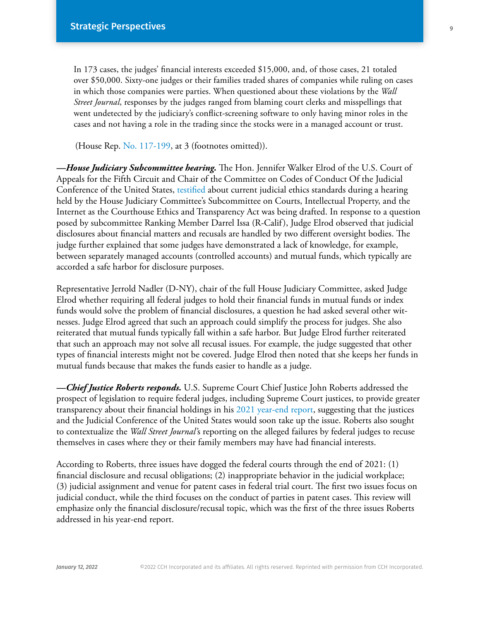In 173 cases, the judges' financial interests exceeded \$15,000, and, of those cases, 21 totaled over \$50,000. Sixty-one judges or their families traded shares of companies while ruling on cases in which those companies were parties. When questioned about these violations by the *Wall Street Journal*, responses by the judges ranged from blaming court clerks and misspellings that went undetected by the judiciary's conflict-screening software to only having minor roles in the cases and not having a role in the trading since the stocks were in a managed account or trust.

(House Rep. [No. 117-199,](https://www.congress.gov/117/crpt/hrpt199/CRPT-117hrpt199.pdf) at 3 (footnotes omitted)).

*—House Judiciary Subcommittee hearing.* The Hon. Jennifer Walker Elrod of the U.S. Court of Appeals for the Fifth Circuit and Chair of the Committee on Codes of Conduct Of the Judicial Conference of the United States, [testified](https://docs.house.gov/meetings/JU/JU03/20211026/114165/HHRG-117-JU03-Wstate-WalkerElrodJ-20211026-U1.pdf) about current judicial ethics standards during a hearing held by the House Judiciary Committee's Subcommittee on Courts, Intellectual Property, and the Internet as the Courthouse Ethics and Transparency Act was being drafted. In response to a question posed by subcommittee Ranking Member Darrel Issa (R-Calif), Judge Elrod observed that judicial disclosures about financial matters and recusals are handled by two different oversight bodies. The judge further explained that some judges have demonstrated a lack of knowledge, for example, between separately managed accounts (controlled accounts) and mutual funds, which typically are accorded a safe harbor for disclosure purposes.

Representative Jerrold Nadler (D-NY), chair of the full House Judiciary Committee, asked Judge Elrod whether requiring all federal judges to hold their financial funds in mutual funds or index funds would solve the problem of financial disclosures, a question he had asked several other witnesses. Judge Elrod agreed that such an approach could simplify the process for judges. She also reiterated that mutual funds typically fall within a safe harbor. But Judge Elrod further reiterated that such an approach may not solve all recusal issues. For example, the judge suggested that other types of financial interests might not be covered. Judge Elrod then noted that she keeps her funds in mutual funds because that makes the funds easier to handle as a judge.

*—Chief Justice Roberts responds.* U.S. Supreme Court Chief Justice John Roberts addressed the prospect of legislation to require federal judges, including Supreme Court justices, to provide greater transparency about their financial holdings in his [2021 year-end report](https://www.supremecourt.gov/publicinfo/year-end/2021year-endreport.pdf), suggesting that the justices and the Judicial Conference of the United States would soon take up the issue. Roberts also sought to contextualize the *Wall Street Journal'*s reporting on the alleged failures by federal judges to recuse themselves in cases where they or their family members may have had financial interests.

According to Roberts, three issues have dogged the federal courts through the end of 2021: (1) financial disclosure and recusal obligations; (2) inappropriate behavior in the judicial workplace; (3) judicial assignment and venue for patent cases in federal trial court. The first two issues focus on judicial conduct, while the third focuses on the conduct of parties in patent cases. This review will emphasize only the financial disclosure/recusal topic, which was the first of the three issues Roberts addressed in his year-end report.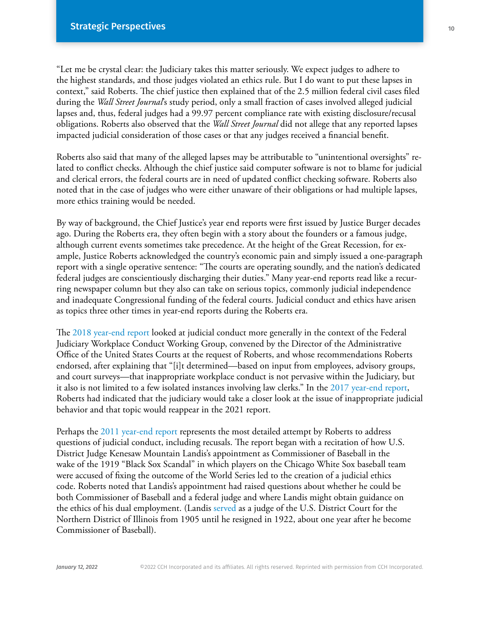"Let me be crystal clear: the Judiciary takes this matter seriously. We expect judges to adhere to the highest standards, and those judges violated an ethics rule. But I do want to put these lapses in context," said Roberts. The chief justice then explained that of the 2.5 million federal civil cases filed during the *Wall Street Journal*'s study period, only a small fraction of cases involved alleged judicial lapses and, thus, federal judges had a 99.97 percent compliance rate with existing disclosure/recusal obligations. Roberts also observed that the *Wall Street Journal* did not allege that any reported lapses impacted judicial consideration of those cases or that any judges received a financial benefit.

Roberts also said that many of the alleged lapses may be attributable to "unintentional oversights" related to conflict checks. Although the chief justice said computer software is not to blame for judicial and clerical errors, the federal courts are in need of updated conflict checking software. Roberts also noted that in the case of judges who were either unaware of their obligations or had multiple lapses, more ethics training would be needed.

By way of background, the Chief Justice's year end reports were first issued by Justice Burger decades ago. During the Roberts era, they often begin with a story about the founders or a famous judge, although current events sometimes take precedence. At the height of the Great Recession, for example, Justice Roberts acknowledged the country's economic pain and simply issued a one-paragraph report with a single operative sentence: "The courts are operating soundly, and the nation's dedicated federal judges are conscientiously discharging their duties." Many year-end reports read like a recurring newspaper column but they also can take on serious topics, commonly judicial independence and inadequate Congressional funding of the federal courts. Judicial conduct and ethics have arisen as topics three other times in year-end reports during the Roberts era.

The [2018 year-end report](https://www.supremecourt.gov/publicinfo/year-end/2018year-endreport.pdf) looked at judicial conduct more generally in the context of the Federal Judiciary Workplace Conduct Working Group, convened by the Director of the Administrative Office of the United States Courts at the request of Roberts, and whose recommendations Roberts endorsed, after explaining that "[i]t determined—based on input from employees, advisory groups, and court surveys—that inappropriate workplace conduct is not pervasive within the Judiciary, but it also is not limited to a few isolated instances involving law clerks." In the [2017 year-end report](https://www.supremecourt.gov/publicinfo/year-end/2017year-endreport.pdf), Roberts had indicated that the judiciary would take a closer look at the issue of inappropriate judicial behavior and that topic would reappear in the 2021 report.

Perhaps the [2011 year-end report](https://www.supremecourt.gov/publicinfo/year-end/2011year-endreport.pdf) represents the most detailed attempt by Roberts to address questions of judicial conduct, including recusals. The report began with a recitation of how U.S. District Judge Kenesaw Mountain Landis's appointment as Commissioner of Baseball in the wake of the 1919 "Black Sox Scandal" in which players on the Chicago White Sox baseball team were accused of fixing the outcome of the World Series led to the creation of a judicial ethics code. Roberts noted that Landis's appointment had raised questions about whether he could be both Commissioner of Baseball and a federal judge and where Landis might obtain guidance on the ethics of his dual employment. (Landis [served](https://www.fjc.gov/history/judges/landis-kenesaw-mountain) as a judge of the U.S. District Court for the Northern District of Illinois from 1905 until he resigned in 1922, about one year after he become Commissioner of Baseball).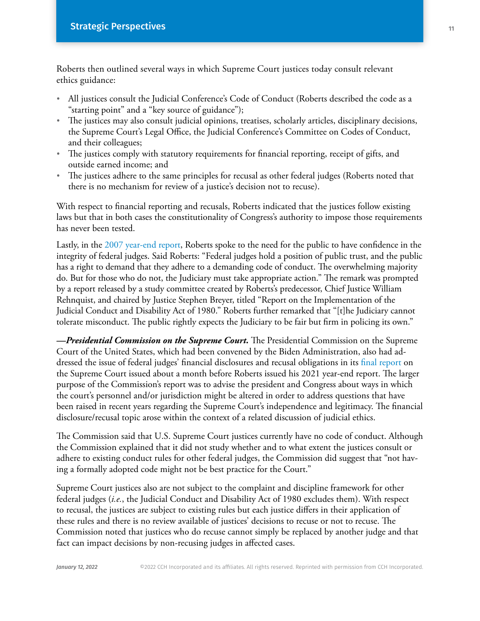Roberts then outlined several ways in which Supreme Court justices today consult relevant ethics guidance:

- **·** All justices consult the Judicial Conference's Code of Conduct (Roberts described the code as a "starting point" and a "key source of guidance");
- **·** The justices may also consult judicial opinions, treatises, scholarly articles, disciplinary decisions, the Supreme Court's Legal Office, the Judicial Conference's Committee on Codes of Conduct, and their colleagues;
- **·** The justices comply with statutory requirements for financial reporting, receipt of gifts, and outside earned income; and
- **·** The justices adhere to the same principles for recusal as other federal judges (Roberts noted that there is no mechanism for review of a justice's decision not to recuse).

With respect to financial reporting and recusals, Roberts indicated that the justices follow existing laws but that in both cases the constitutionality of Congress's authority to impose those requirements has never been tested.

Lastly, in the 2007 year-end report, Roberts spoke to the need for the public to have confidence in the integrity of federal judges. Said Roberts: "Federal judges hold a position of public trust, and the public has a right to demand that they adhere to a demanding code of conduct. The overwhelming majority do. But for those who do not, the Judiciary must take appropriate action." The remark was prompted by a report released by a study committee created by Roberts's predecessor, Chief Justice William Rehnquist, and chaired by Justice Stephen Breyer, titled "Report on the Implementation of the Judicial Conduct and Disability Act of 1980." Roberts further remarked that "[t]he Judiciary cannot tolerate misconduct. The public rightly expects the Judiciary to be fair but firm in policing its own."

*—Presidential Commission on the Supreme Court.* The Presidential Commission on the Supreme Court of the United States, which had been convened by the Biden Administration, also had addressed the issue of federal judges' financial disclosures and recusal obligations in its final report on the Supreme Court issued about a month before Roberts issued his 2021 year-end report. The larger purpose of the Commission's report was to advise the president and Congress about ways in which the court's personnel and/or jurisdiction might be altered in order to address questions that have been raised in recent years regarding the Supreme Court's independence and legitimacy. The financial disclosure/recusal topic arose within the context of a related discussion of judicial ethics.

The Commission said that U.S. Supreme Court justices currently have no code of conduct. Although the Commission explained that it did not study whether and to what extent the justices consult or adhere to existing conduct rules for other federal judges, the Commission did suggest that "not having a formally adopted code might not be best practice for the Court."

Supreme Court justices also are not subject to the complaint and discipline framework for other federal judges (*i.e.*, the Judicial Conduct and Disability Act of 1980 excludes them). With respect to recusal, the justices are subject to existing rules but each justice differs in their application of these rules and there is no review available of justices' decisions to recuse or not to recuse. The Commission noted that justices who do recuse cannot simply be replaced by another judge and that fact can impact decisions by non-recusing judges in affected cases.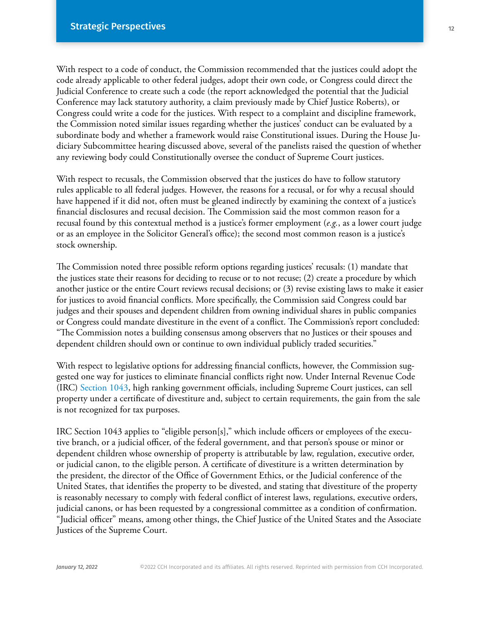With respect to a code of conduct, the Commission recommended that the justices could adopt the code already applicable to other federal judges, adopt their own code, or Congress could direct the Judicial Conference to create such a code (the report acknowledged the potential that the Judicial Conference may lack statutory authority, a claim previously made by Chief Justice Roberts), or Congress could write a code for the justices. With respect to a complaint and discipline framework, the Commission noted similar issues regarding whether the justices' conduct can be evaluated by a subordinate body and whether a framework would raise Constitutional issues. During the House Judiciary Subcommittee hearing discussed above, several of the panelists raised the question of whether any reviewing body could Constitutionally oversee the conduct of Supreme Court justices.

With respect to recusals, the Commission observed that the justices do have to follow statutory rules applicable to all federal judges. However, the reasons for a recusal, or for why a recusal should have happened if it did not, often must be gleaned indirectly by examining the context of a justice's financial disclosures and recusal decision. The Commission said the most common reason for a recusal found by this contextual method is a justice's former employment (*e.g.*, as a lower court judge or as an employee in the Solicitor General's office); the second most common reason is a justice's stock ownership.

The Commission noted three possible reform options regarding justices' recusals: (1) mandate that the justices state their reasons for deciding to recuse or to not recuse; (2) create a procedure by which another justice or the entire Court reviews recusal decisions; or (3) revise existing laws to make it easier for justices to avoid financial conflicts. More specifically, the Commission said Congress could bar judges and their spouses and dependent children from owning individual shares in public companies or Congress could mandate divestiture in the event of a conflict. The Commission's report concluded: "The Commission notes a building consensus among observers that no Justices or their spouses and dependent children should own or continue to own individual publicly traded securities."

With respect to legislative options for addressing financial conflicts, however, the Commission suggested one way for justices to eliminate financial conflicts right now. Under Internal Revenue Code (IRC) [Section 1043,](https://business.cch.com/srd/VitalLaw-IRC1043.pdf) high ranking government officials, including Supreme Court justices, can sell property under a certificate of divestiture and, subject to certain requirements, the gain from the sale is not recognized for tax purposes.

IRC Section 1043 applies to "eligible person[s]," which include officers or employees of the executive branch, or a judicial officer, of the federal government, and that person's spouse or minor or dependent children whose ownership of property is attributable by law, regulation, executive order, or judicial canon, to the eligible person. A certificate of divestiture is a written determination by the president, the director of the Office of Government Ethics, or the Judicial conference of the United States, that identifies the property to be divested, and stating that divestiture of the property is reasonably necessary to comply with federal conflict of interest laws, regulations, executive orders, judicial canons, or has been requested by a congressional committee as a condition of confirmation. "Judicial officer" means, among other things, the Chief Justice of the United States and the Associate Justices of the Supreme Court.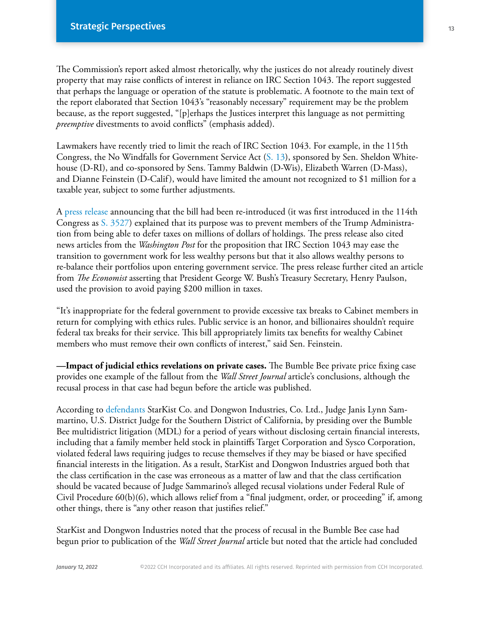The Commission's report asked almost rhetorically, why the justices do not already routinely divest property that may raise conflicts of interest in reliance on IRC Section 1043. The report suggested that perhaps the language or operation of the statute is problematic. A footnote to the main text of the report elaborated that Section 1043's "reasonably necessary" requirement may be the problem because, as the report suggested, "[p]erhaps the Justices interpret this language as not permitting *preemptive* divestments to avoid conflicts" (emphasis added).

Lawmakers have recently tried to limit the reach of IRC Section 1043. For example, in the 115th Congress, the No Windfalls for Government Service Act ([S. 13\)](https://www.congress.gov/115/bills/s13/BILLS-115s13is.pdf), sponsored by Sen. Sheldon Whitehouse (D-RI), and co-sponsored by Sens. Tammy Baldwin (D-Wis), Elizabeth Warren (D-Mass), and Dianne Feinstein (D-Calif), would have limited the amount not recognized to \$1 million for a taxable year, subject to some further adjustments.

A [press release](https://www.baldwin.senate.gov/news/press-releases/no-windfalls-for-government-service-act) announcing that the bill had been re-introduced (it was first introduced in the 114th Congress as [S. 3527\)](https://www.congress.gov/114/bills/s3527/BILLS-114s3527is.pdf) explained that its purpose was to prevent members of the Trump Administration from being able to defer taxes on millions of dollars of holdings. The press release also cited news articles from the *Washington Post* for the proposition that IRC Section 1043 may ease the transition to government work for less wealthy persons but that it also allows wealthy persons to re-balance their portfolios upon entering government service. The press release further cited an article from *The Economist* asserting that President George W. Bush's Treasury Secretary, Henry Paulson, used the provision to avoid paying \$200 million in taxes.

"It's inappropriate for the federal government to provide excessive tax breaks to Cabinet members in return for complying with ethics rules. Public service is an honor, and billionaires shouldn't require federal tax breaks for their service. This bill appropriately limits tax benefits for wealthy Cabinet members who must remove their own conflicts of interest," said Sen. Feinstein.

**—Impact of judicial ethics revelations on private cases.** The Bumble Bee private price fixing case provides one example of the fallout from the *Wall Street Journal* article's conclusions, although the recusal process in that case had begun before the article was published.

According to [defendants](https://business.cch.com/srd/OleanWholesaleGroceryvBumbleBeeFoods175.pdf) StarKist Co. and Dongwon Industries, Co. Ltd., Judge Janis Lynn Sammartino, U.S. District Judge for the Southern District of California, by presiding over the Bumble Bee multidistrict litigation (MDL) for a period of years without disclosing certain financial interests, including that a family member held stock in plaintiffs Target Corporation and Sysco Corporation, violated federal laws requiring judges to recuse themselves if they may be biased or have specified financial interests in the litigation. As a result, StarKist and Dongwon Industries argued both that the class certification in the case was erroneous as a matter of law and that the class certification should be vacated because of Judge Sammarino's alleged recusal violations under Federal Rule of Civil Procedure 60(b)(6), which allows relief from a "final judgment, order, or proceeding" if, among other things, there is "any other reason that justifies relief."

StarKist and Dongwon Industries noted that the process of recusal in the Bumble Bee case had begun prior to publication of the *Wall Street Journal* article but noted that the article had concluded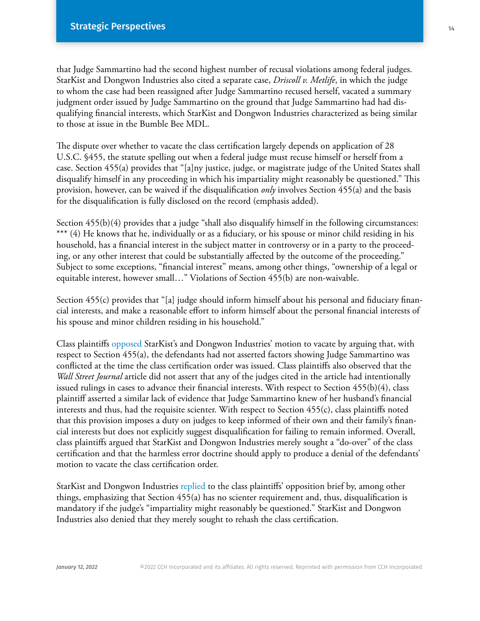that Judge Sammartino had the second highest number of recusal violations among federal judges. StarKist and Dongwon Industries also cited a separate case, *Driscoll v. Metlife*, in which the judge to whom the case had been reassigned after Judge Sammartino recused herself, vacated a summary judgment order issued by Judge Sammartino on the ground that Judge Sammartino had had disqualifying financial interests, which StarKist and Dongwon Industries characterized as being similar to those at issue in the Bumble Bee MDL.

The dispute over whether to vacate the class certification largely depends on application of 28 U.S.C. §455, the statute spelling out when a federal judge must recuse himself or herself from a case. Section 455(a) provides that "[a]ny justice, judge, or magistrate judge of the United States shall disqualify himself in any proceeding in which his impartiality might reasonably be questioned." This provision, however, can be waived if the disqualification *only* involves Section 455(a) and the basis for the disqualification is fully disclosed on the record (emphasis added).

Section 455(b)(4) provides that a judge "shall also disqualify himself in the following circumstances: \*\*\* (4) He knows that he, individually or as a fiduciary, or his spouse or minor child residing in his household, has a financial interest in the subject matter in controversy or in a party to the proceeding, or any other interest that could be substantially affected by the outcome of the proceeding." Subject to some exceptions, "financial interest" means, among other things, "ownership of a legal or equitable interest, however small…" Violations of Section 455(b) are non-waivable.

Section 455(c) provides that "[a] judge should inform himself about his personal and fiduciary financial interests, and make a reasonable effort to inform himself about the personal financial interests of his spouse and minor children residing in his household."

Class plaintiffs opposed StarKist's and Dongwon Industries' motion to vacate by arguing that, with respect to Section 455(a), the defendants had not asserted factors showing Judge Sammartino was conflicted at the time the class certification order was issued. Class plaintiffs also observed that the *Wall Street Journal* article did not assert that any of the judges cited in the article had intentionally issued rulings in cases to advance their financial interests. With respect to Section 455(b)(4), class plaintiff asserted a similar lack of evidence that Judge Sammartino knew of her husband's financial interests and thus, had the requisite scienter. With respect to Section 455(c), class plaintiffs noted that this provision imposes a duty on judges to keep informed of their own and their family's financial interests but does not explicitly suggest disqualification for failing to remain informed. Overall, class plaintiffs argued that StarKist and Dongwon Industries merely sought a "do-over" of the class certification and that the harmless error doctrine should apply to produce a denial of the defendants' motion to vacate the class certification order.

StarKist and Dongwon Industries [replied](https://business.cch.com/srd/OleanWholesaleGroceryvBumbleBeeFoods180.pdf) to the class plaintiffs' opposition brief by, among other things, emphasizing that Section 455(a) has no scienter requirement and, thus, disqualification is mandatory if the judge's "impartiality might reasonably be questioned." StarKist and Dongwon Industries also denied that they merely sought to rehash the class certification.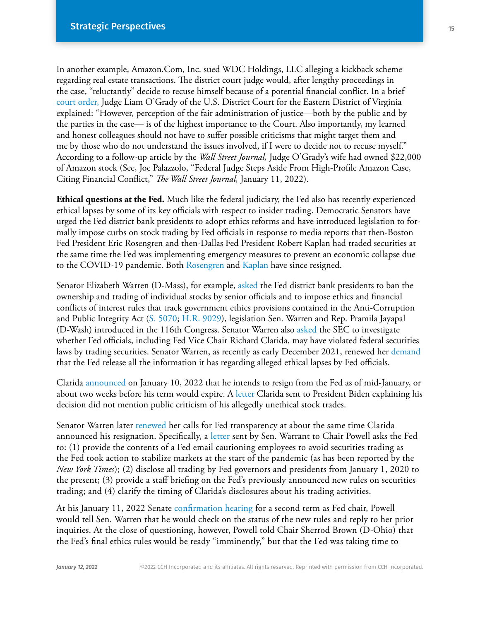In another example, Amazon.Com, Inc. sued WDC Holdings, LLC alleging a kickback scheme regarding real estate transactions. The district court judge would, after lengthy proceedings in the case, "reluctantly" decide to recuse himself because of a potential financial conflict. In a brief [court order,](https://business.cch.com/srd/AmazonComInc-v-WDCHoldingsLLC-JudgeOGradyRecusalOrder-011022.pdf) Judge Liam O'Grady of the U.S. District Court for the Eastern District of Virginia explained: "However, perception of the fair administration of justice—both by the public and by the parties in the case— is of the highest importance to the Court. Also importantly, my learned and honest colleagues should not have to suffer possible criticisms that might target them and me by those who do not understand the issues involved, if I were to decide not to recuse myself." According to a follow-up article by the *Wall Street Journal,* Judge O'Grady's wife had owned \$22,000 of Amazon stock (See, Joe Palazzolo, "Federal Judge Steps Aside From High-Profile Amazon Case, Citing Financial Conflict," *The Wall Street Journal,* January 11, 2022).

**Ethical questions at the Fed.** Much like the federal judiciary, the Fed also has recently experienced ethical lapses by some of its key officials with respect to insider trading. Democratic Senators have urged the Fed district bank presidents to adopt ethics reforms and have introduced legislation to formally impose curbs on stock trading by Fed officials in response to media reports that then-Boston Fed President Eric Rosengren and then-Dallas Fed President Robert Kaplan had traded securities at the same time the Fed was implementing emergency measures to prevent an economic collapse due to the COVID-19 pandemic. Both Rosengren and [Kaplan](https://www.dallasfed.org/news/releases/2021/nr210927kaplan.aspx) have since resigned.

Senator Elizabeth Warren (D-Mass), for example, asked the Fed district bank presidents to ban the ownership and trading of individual stocks by senior officials and to impose ethics and financial conflicts of interest rules that track government ethics provisions contained in the Anti-Corruption and Public Integrity Act [\(S. 5070](https://business.cch.com/srd/S5070.pdf); [H.R. 9029](https://business.cch.com/srd/HR9029.pdf)), legislation Sen. Warren and Rep. Pramila Jayapal (D-Wash) introduced in the 116th Congress. Senator Warren also [asked](https://www.warren.senate.gov/imo/media/doc/2021.10.04 Letter to SEC requesting ethics investigation of Fed officials (003).pdf) the SEC to investigate whether Fed officials, including Fed Vice Chair Richard Clarida, may have violated federal securities laws by trading securities. Senator Warren, as recently as early December 2021, renewed her demand that the Fed release all the information it has regarding alleged ethical lapses by Fed officials.

Clarida [announced](https://www.federalreserve.gov/newsevents/pressreleases/other20220110a.htm) on January 10, 2022 that he intends to resign from the Fed as of mid-January, or about two weeks before his term would expire. A [letter](https://www.federalreserve.gov/newsevents/pressreleases/files/other20220110a1.pdf) Clarida sent to President Biden explaining his decision did not mention public criticism of his allegedly unethical stock trades.

Senator Warren later [renewed](https://www.warren.senate.gov/newsroom/press-releases/after-troubling-new-revelations-in-federal-reserve-stock-trading-scandal-warren-calls-for-transparency-into-officials-trading-and-fed-ethics-policies) her calls for Fed transparency at about the same time Clarida announced his resignation. Specifically, a [letter](https://www.warren.senate.gov/imo/media/doc/2022.01.07%20Letter%20to%20Powell%20on%20Fed%20ethics.pdf) sent by Sen. Warrant to Chair Powell asks the Fed to: (1) provide the contents of a Fed email cautioning employees to avoid securities trading as the Fed took action to stabilize markets at the start of the pandemic (as has been reported by the *New York Times*); (2) disclose all trading by Fed governors and presidents from January 1, 2020 to the present; (3) provide a staff briefing on the Fed's previously announced new rules on securities trading; and (4) clarify the timing of Clarida's disclosures about his trading activities.

At his January 11, 2022 Senate [confirmation hearing](https://www.banking.senate.gov/hearings/01/04/2022/nomination-hearing) for a second term as Fed chair, Powell would tell Sen. Warren that he would check on the status of the new rules and reply to her prior inquiries. At the close of questioning, however, Powell told Chair Sherrod Brown (D-Ohio) that the Fed's final ethics rules would be ready "imminently," but that the Fed was taking time to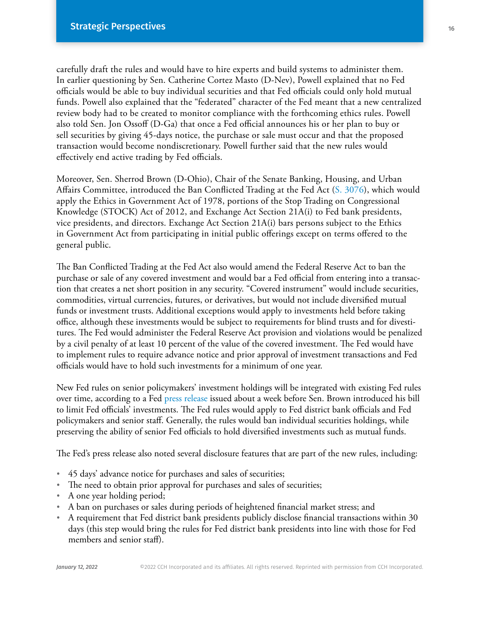carefully draft the rules and would have to hire experts and build systems to administer them. In earlier questioning by Sen. Catherine Cortez Masto (D-Nev), Powell explained that no Fed officials would be able to buy individual securities and that Fed officials could only hold mutual funds. Powell also explained that the "federated" character of the Fed meant that a new centralized review body had to be created to monitor compliance with the forthcoming ethics rules. Powell also told Sen. Jon Ossoff (D-Ga) that once a Fed official announces his or her plan to buy or sell securities by giving 45-days notice, the purchase or sale must occur and that the proposed transaction would become nondiscretionary. Powell further said that the new rules would effectively end active trading by Fed officials.

Moreover, Sen. Sherrod Brown (D-Ohio), Chair of the Senate Banking, Housing, and Urban Affairs Committee, introduced the Ban Conflicted Trading at the Fed Act [\(S. 3076](https://www.congress.gov/117/bills/s3076/BILLS-117s3076is.pdf)), which would apply the Ethics in Government Act of 1978, portions of the Stop Trading on Congressional Knowledge (STOCK) Act of 2012, and Exchange Act Section 21A(i) to Fed bank presidents, vice presidents, and directors. Exchange Act Section 21A(i) bars persons subject to the Ethics in Government Act from participating in initial public offerings except on terms offered to the general public.

The Ban Conflicted Trading at the Fed Act also would amend the Federal Reserve Act to ban the purchase or sale of any covered investment and would bar a Fed official from entering into a transaction that creates a net short position in any security. "Covered instrument" would include securities, commodities, virtual currencies, futures, or derivatives, but would not include diversified mutual funds or investment trusts. Additional exceptions would apply to investments held before taking office, although these investments would be subject to requirements for blind trusts and for divestitures. The Fed would administer the Federal Reserve Act provision and violations would be penalized by a civil penalty of at least 10 percent of the value of the covered investment. The Fed would have to implement rules to require advance notice and prior approval of investment transactions and Fed officials would have to hold such investments for a minimum of one year.

New Fed rules on senior policymakers' investment holdings will be integrated with existing Fed rules over time, according to a Fed [press release](https://www.federalreserve.gov/newsevents/pressreleases/other20211021b.htm) issued about a week before Sen. Brown introduced his bill to limit Fed officials' investments. The Fed rules would apply to Fed district bank officials and Fed policymakers and senior staff. Generally, the rules would ban individual securities holdings, while preserving the ability of senior Fed officials to hold diversified investments such as mutual funds.

The Fed's press release also noted several disclosure features that are part of the new rules, including:

- **·** 45 days' advance notice for purchases and sales of securities;
- **·** The need to obtain prior approval for purchases and sales of securities;
- **·** A one year holding period;
- **·** A ban on purchases or sales during periods of heightened financial market stress; and
- **·** A requirement that Fed district bank presidents publicly disclose financial transactions within 30 days (this step would bring the rules for Fed district bank presidents into line with those for Fed members and senior staff).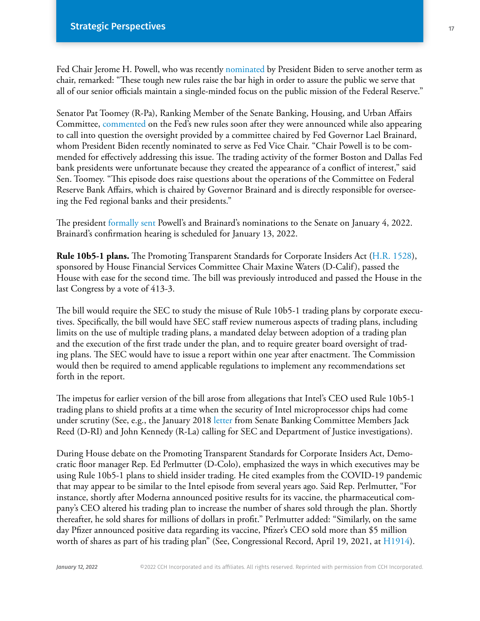Fed Chair Jerome H. Powell, who was recently [nominated](https://www.whitehouse.gov/briefing-room/statements-releases/2021/11/22/president-biden-nominates-jerome-powell-to-serve-as-chair-of-the-federal-reserve-dr-lael-brainard-to-serve-as-vice-chair/) by President Biden to serve another term as chair, remarked: "These tough new rules raise the bar high in order to assure the public we serve that all of our senior officials maintain a single-minded focus on the public mission of the Federal Reserve."

Senator Pat Toomey (R-Pa), Ranking Member of the Senate Banking, Housing, and Urban Affairs Committee, commented on the Fed's new rules soon after they were announced while also appearing to call into question the oversight provided by a committee chaired by Fed Governor Lael Brainard, whom President Biden recently nominated to serve as Fed Vice Chair. "Chair Powell is to be commended for effectively addressing this issue. The trading activity of the former Boston and Dallas Fed bank presidents were unfortunate because they created the appearance of a conflict of interest," said Sen. Toomey. "This episode does raise questions about the operations of the Committee on Federal Reserve Bank Affairs, which is chaired by Governor Brainard and is directly responsible for overseeing the Fed regional banks and their presidents."

The president [formally sent](https://www.whitehouse.gov/briefing-room/statements-releases/2022/01/04/nominations-sent-to-the-senate-54/) Powell's and Brainard's nominations to the Senate on January 4, 2022. Brainard's confirmation hearing is scheduled for January 13, 2022.

**Rule 10b5-1 plans.** The Promoting Transparent Standards for Corporate Insiders Act ([H.R. 1528](https://www.congress.gov/117/bills/hr1528/BILLS-117hr1528rfs.pdf)), sponsored by House Financial Services Committee Chair Maxine Waters (D-Calif), passed the House with ease for the second time. The bill was previously introduced and passed the House in the last Congress by a vote of 413-3.

The bill would require the SEC to study the misuse of Rule 10b5-1 trading plans by corporate executives. Specifically, the bill would have SEC staff review numerous aspects of trading plans, including limits on the use of multiple trading plans, a mandated delay between adoption of a trading plan and the execution of the first trade under the plan, and to require greater board oversight of trading plans. The SEC would have to issue a report within one year after enactment. The Commission would then be required to amend applicable regulations to implement any recommendations set forth in the report.

The impetus for earlier version of the bill arose from allegations that Intel's CEO used Rule 10b5-1 trading plans to shield profits at a time when the security of Intel microprocessor chips had come under scrutiny (See, e.g., the January 2018 [letter](https://www.reed.senate.gov/news/releases/senators-urge-sec-doj-to-investigate-intel-ceos-stock-sales-despite-chip-vulnerabilities-knowledge) from Senate Banking Committee Members Jack Reed (D-RI) and John Kennedy (R-La) calling for SEC and Department of Justice investigations).

During House debate on the Promoting Transparent Standards for Corporate Insiders Act, Democratic floor manager Rep. Ed Perlmutter (D-Colo), emphasized the ways in which executives may be using Rule 10b5-1 plans to shield insider trading. He cited examples from the COVID-19 pandemic that may appear to be similar to the Intel episode from several years ago. Said Rep. Perlmutter, "For instance, shortly after Moderna announced positive results for its vaccine, the pharmaceutical company's CEO altered his trading plan to increase the number of shares sold through the plan. Shortly thereafter, he sold shares for millions of dollars in profit." Perlmutter added: "Similarly, on the same day Pfizer announced positive data regarding its vaccine, Pfizer's CEO sold more than \$5 million worth of shares as part of his trading plan" (See, Congressional Record, April 19, 2021, at H1914).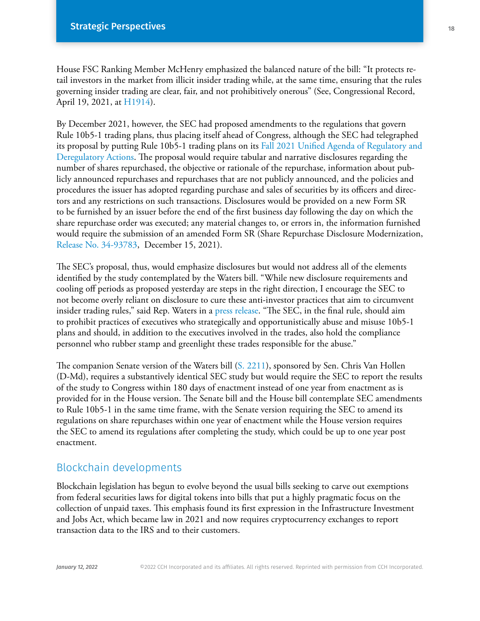House FSC Ranking Member McHenry emphasized the balanced nature of the bill: "It protects retail investors in the market from illicit insider trading while, at the same time, ensuring that the rules governing insider trading are clear, fair, and not prohibitively onerous" (See, Congressional Record, April 19, 2021, at [H1914\)](https://www.congress.gov/117/crec/2021/04/19/167/67/CREC-2021-04-19.pdf).

By December 2021, however, the SEC had proposed amendments to the regulations that govern Rule 10b5-1 trading plans, thus placing itself ahead of Congress, although the SEC had telegraphed its proposal by putting Rule 10b5-1 trading plans on its Fall 2021 Unified Agenda of Regulatory and Deregulatory Actions. The proposal would require tabular and narrative disclosures regarding the number of shares repurchased, the objective or rationale of the repurchase, information about publicly announced repurchases and repurchases that are not publicly announced, and the policies and procedures the issuer has adopted regarding purchase and sales of securities by its officers and directors and any restrictions on such transactions. Disclosures would be provided on a new Form SR to be furnished by an issuer before the end of the first business day following the day on which the share repurchase order was executed; any material changes to, or errors in, the information furnished would require the submission of an amended Form SR (Share Repurchase Disclosure Modernization, Release No. 34-93783, December 15, 2021).

The SEC's proposal, thus, would emphasize disclosures but would not address all of the elements identified by the study contemplated by the Waters bill. "While new disclosure requirements and cooling off periods as proposed yesterday are steps in the right direction, I encourage the SEC to not become overly reliant on disclosure to cure these anti-investor practices that aim to circumvent insider trading rules," said Rep. Waters in a [press release.](https://financialservices.house.gov/news/documentsingle.aspx?DocumentID=408910) "The SEC, in the final rule, should aim to prohibit practices of executives who strategically and opportunistically abuse and misuse 10b5-1 plans and should, in addition to the executives involved in the trades, also hold the compliance personnel who rubber stamp and greenlight these trades responsible for the abuse."

The companion Senate version of the Waters bill [\(S. 2211](https://www.congress.gov/117/bills/s2211/BILLS-117s2211is.pdf)), sponsored by Sen. Chris Van Hollen (D-Md), requires a substantively identical SEC study but would require the SEC to report the results of the study to Congress within 180 days of enactment instead of one year from enactment as is provided for in the House version. The Senate bill and the House bill contemplate SEC amendments to Rule 10b5-1 in the same time frame, with the Senate version requiring the SEC to amend its regulations on share repurchases within one year of enactment while the House version requires the SEC to amend its regulations after completing the study, which could be up to one year post enactment.

## Blockchain developments

Blockchain legislation has begun to evolve beyond the usual bills seeking to carve out exemptions from federal securities laws for digital tokens into bills that put a highly pragmatic focus on the collection of unpaid taxes. This emphasis found its first expression in the Infrastructure Investment and Jobs Act, which became law in 2021 and now requires cryptocurrency exchanges to report transaction data to the IRS and to their customers.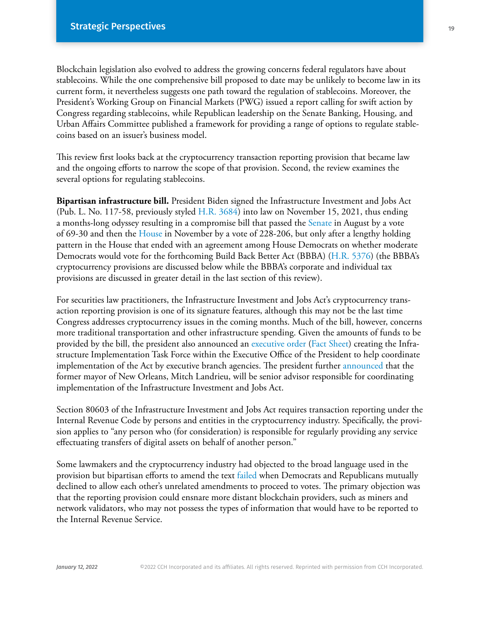Blockchain legislation also evolved to address the growing concerns federal regulators have about stablecoins. While the one comprehensive bill proposed to date may be unlikely to become law in its current form, it nevertheless suggests one path toward the regulation of stablecoins. Moreover, the President's Working Group on Financial Markets (PWG) issued a report calling for swift action by Congress regarding stablecoins, while Republican leadership on the Senate Banking, Housing, and Urban Affairs Committee published a framework for providing a range of options to regulate stablecoins based on an issuer's business model.

This review first looks back at the cryptocurrency transaction reporting provision that became law and the ongoing efforts to narrow the scope of that provision. Second, the review examines the several options for regulating stablecoins.

**Bipartisan infrastructure bill.** President Biden signed the Infrastructure Investment and Jobs Act (Pub. L. No. 117-58, previously styled [H.R. 3684](https://www.majorityleader.gov/sites/democraticwhip.house.gov/files/H.R. 3584.pdf)) into law on November 15, 2021, thus ending a months-long odyssey resulting in a compromise bill that passed the [Senate](https://business.cch.com/srd/SRD-MSN-SenatePassage-HR3684-081021.pdf) in August by a vote of 69-30 and then the House in November by a vote of 228-206, but only after a lengthy holding pattern in the House that ended with an agreement among House Democrats on whether moderate Democrats would vote for the forthcoming Build Back Better Act (BBBA) [\(H.R. 5376\)](https://rules.house.gov/sites/democrats.rules.house.gov/files/BILLS-117HR5376RH-RCP117-18.pdf) (the BBBA's cryptocurrency provisions are discussed below while the BBBA's corporate and individual tax provisions are discussed in greater detail in the last section of this review).

For securities law practitioners, the Infrastructure Investment and Jobs Act's cryptocurrency transaction reporting provision is one of its signature features, although this may not be the last time Congress addresses cryptocurrency issues in the coming months. Much of the bill, however, concerns more traditional transportation and other infrastructure spending. Given the amounts of funds to be provided by the bill, the president also announced an [executive order](https://www.whitehouse.gov/briefing-room/presidential-actions/2021/11/15/executive-order-on-implementation-of-the-infrastructure-investment-and-jobs-act/) [\(Fact Sheet\)](https://www.whitehouse.gov/briefing-room/statements-releases/2021/11/15/fact-sheet-president-bidens-executive-order-establishing-priorities-and-task-force-for-implementation-of-the-bipartisan-infrastructure-law/) creating the Infrastructure Implementation Task Force within the Executive Office of the President to help coordinate implementation of the Act by executive branch agencies. The president further [announced](https://www.whitehouse.gov/briefing-room/statements-releases/2021/11/14/president-biden-announces-former-new-orleans-mayor-mitch-landrieu-as-senior-advisor-and-infrastructure-coordinator/) that the former mayor of New Orleans, Mitch Landrieu, will be senior advisor responsible for coordinating implementation of the Infrastructure Investment and Jobs Act.

Section 80603 of the Infrastructure Investment and Jobs Act requires transaction reporting under the Internal Revenue Code by persons and entities in the cryptocurrency industry. Specifically, the provision applies to "any person who (for consideration) is responsible for regularly providing any service effectuating transfers of digital assets on behalf of another person."

Some lawmakers and the cryptocurrency industry had objected to the broad language used in the provision but bipartisan efforts to amend the text failed when Democrats and Republicans mutually declined to allow each other's unrelated amendments to proceed to votes. The primary objection was that the reporting provision could ensnare more distant blockchain providers, such as miners and network validators, who may not possess the types of information that would have to be reported to the Internal Revenue Service.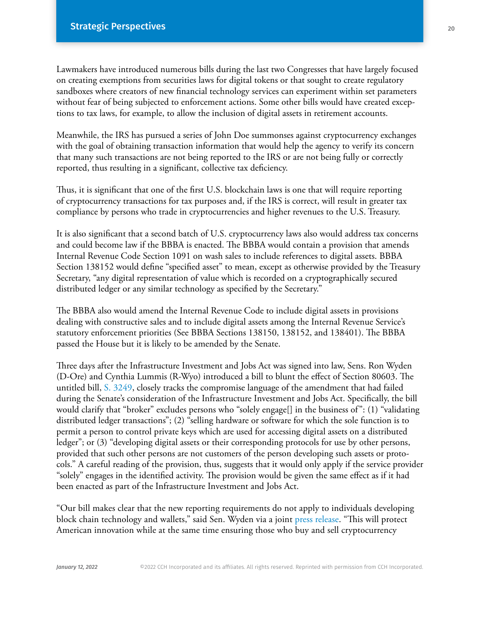Lawmakers have introduced numerous bills during the last two Congresses that have largely focused on creating exemptions from securities laws for digital tokens or that sought to create regulatory sandboxes where creators of new financial technology services can experiment within set parameters without fear of being subjected to enforcement actions. Some other bills would have created exceptions to tax laws, for example, to allow the inclusion of digital assets in retirement accounts.

Meanwhile, the IRS has pursued a series of John Doe summonses against cryptocurrency exchanges with the goal of obtaining transaction information that would help the agency to verify its concern that many such transactions are not being reported to the IRS or are not being fully or correctly reported, thus resulting in a significant, collective tax deficiency.

Thus, it is significant that one of the first U.S. blockchain laws is one that will require reporting of cryptocurrency transactions for tax purposes and, if the IRS is correct, will result in greater tax compliance by persons who trade in cryptocurrencies and higher revenues to the U.S. Treasury.

It is also significant that a second batch of U.S. cryptocurrency laws also would address tax concerns and could become law if the BBBA is enacted. The BBBA would contain a provision that amends Internal Revenue Code Section 1091 on wash sales to include references to digital assets. BBBA Section 138152 would define "specified asset" to mean, except as otherwise provided by the Treasury Secretary, "any digital representation of value which is recorded on a cryptographically secured distributed ledger or any similar technology as specified by the Secretary."

The BBBA also would amend the Internal Revenue Code to include digital assets in provisions dealing with constructive sales and to include digital assets among the Internal Revenue Service's statutory enforcement priorities (See BBBA Sections 138150, 138152, and 138401). The BBBA passed the House but it is likely to be amended by the Senate.

Three days after the Infrastructure Investment and Jobs Act was signed into law, Sens. Ron Wyden (D-Ore) and Cynthia Lummis (R-Wyo) introduced a bill to blunt the effect of Section 80603. The untitled bill, [S. 3249,](https://www.congress.gov/117/bills/s3249/BILLS-117s3249is.pdf) closely tracks the compromise language of the amendment that had failed during the Senate's consideration of the Infrastructure Investment and Jobs Act. Specifically, the bill would clarify that "broker" excludes persons who "solely engage[] in the business of": (1) "validating distributed ledger transactions"; (2) "selling hardware or software for which the sole function is to permit a person to control private keys which are used for accessing digital assets on a distributed ledger"; or (3) "developing digital assets or their corresponding protocols for use by other persons, provided that such other persons are not customers of the person developing such assets or protocols." A careful reading of the provision, thus, suggests that it would only apply if the service provider "solely" engages in the identified activity. The provision would be given the same effect as if it had been enacted as part of the Infrastructure Investment and Jobs Act.

"Our bill makes clear that the new reporting requirements do not apply to individuals developing block chain technology and wallets," said Sen. Wyden via a joint [press release](https://www.lummis.senate.gov/press-releases/wyden-lummis-introduce-bill-to-fix-broker-definition-for-digital-assets/). "This will protect American innovation while at the same time ensuring those who buy and sell cryptocurrency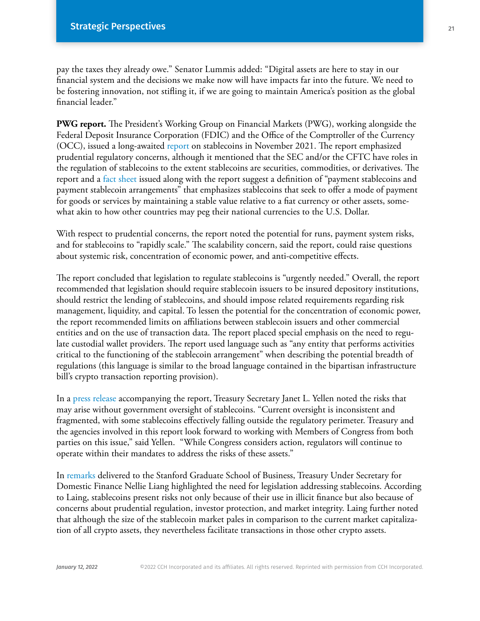pay the taxes they already owe." Senator Lummis added: "Digital assets are here to stay in our financial system and the decisions we make now will have impacts far into the future. We need to be fostering innovation, not stifling it, if we are going to maintain America's position as the global financial leader."

**PWG report.** The President's Working Group on Financial Markets (PWG), working alongside the Federal Deposit Insurance Corporation (FDIC) and the Office of the Comptroller of the Currency (OCC), issued a long-awaited [report](https://home.treasury.gov/system/files/136/StableCoinReport_Nov1_508.pdf) on stablecoins in November 2021. The report emphasized prudential regulatory concerns, although it mentioned that the SEC and/or the CFTC have roles in the regulation of stablecoins to the extent stablecoins are securities, commodities, or derivatives. The report and a [fact sheet](https://home.treasury.gov/news/press-releases/jy0456) issued along with the report suggest a definition of "payment stablecoins and payment stablecoin arrangements" that emphasizes stablecoins that seek to offer a mode of payment for goods or services by maintaining a stable value relative to a fiat currency or other assets, somewhat akin to how other countries may peg their national currencies to the U.S. Dollar.

With respect to prudential concerns, the report noted the potential for runs, payment system risks, and for stablecoins to "rapidly scale." The scalability concern, said the report, could raise questions about systemic risk, concentration of economic power, and anti-competitive effects.

The report concluded that legislation to regulate stablecoins is "urgently needed." Overall, the report recommended that legislation should require stablecoin issuers to be insured depository institutions, should restrict the lending of stablecoins, and should impose related requirements regarding risk management, liquidity, and capital. To lessen the potential for the concentration of economic power, the report recommended limits on affiliations between stablecoin issuers and other commercial entities and on the use of transaction data. The report placed special emphasis on the need to regulate custodial wallet providers. The report used language such as "any entity that performs activities critical to the functioning of the stablecoin arrangement" when describing the potential breadth of regulations (this language is similar to the broad language contained in the bipartisan infrastructure bill's crypto transaction reporting provision).

In a [press release](https://home.treasury.gov/news/press-releases/jy0454) accompanying the report, Treasury Secretary Janet L. Yellen noted the risks that may arise without government oversight of stablecoins. "Current oversight is inconsistent and fragmented, with some stablecoins effectively falling outside the regulatory perimeter. Treasury and the agencies involved in this report look forward to working with Members of Congress from both parties on this issue," said Yellen. "While Congress considers action, regulators will continue to operate within their mandates to address the risks of these assets."

In [remarks](https://home.treasury.gov/news/press-releases/jy0455) delivered to the Stanford Graduate School of Business, Treasury Under Secretary for Domestic Finance Nellie Liang highlighted the need for legislation addressing stablecoins. According to Laing, stablecoins present risks not only because of their use in illicit finance but also because of concerns about prudential regulation, investor protection, and market integrity. Laing further noted that although the size of the stablecoin market pales in comparison to the current market capitalization of all crypto assets, they nevertheless facilitate transactions in those other crypto assets.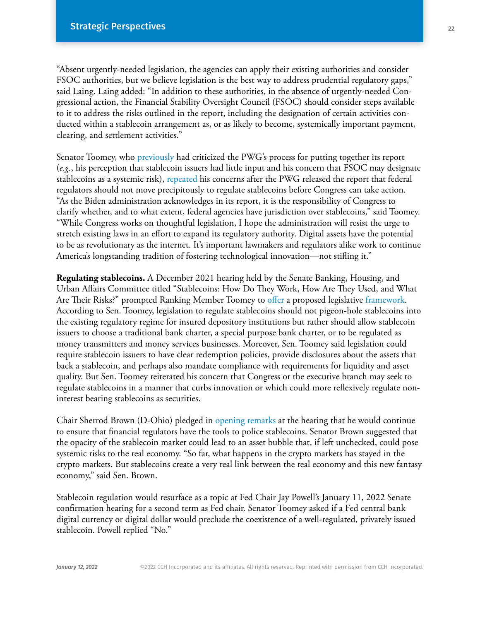"Absent urgently-needed legislation, the agencies can apply their existing authorities and consider FSOC authorities, but we believe legislation is the best way to address prudential regulatory gaps," said Laing. Laing added: "In addition to these authorities, in the absence of urgently-needed Congressional action, the Financial Stability Oversight Council (FSOC) should consider steps available to it to address the risks outlined in the report, including the designation of certain activities conducted within a stablecoin arrangement as, or as likely to become, systemically important payment, clearing, and settlement activities."

Senator Toomey, who [previously](https://www.banking.senate.gov/imo/media/doc/toomey_letter_to_yellen_on_pwg_report.pdf) had criticized the PWG's process for putting together its report (*e.g.*, his perception that stablecoin issuers had little input and his concern that FSOC may designate stablecoins as a systemic risk), [repeated](https://www.banking.senate.gov/newsroom/minority/toomey-statement-on-biden-administrations-stablecoin-report) his concerns after the PWG released the report that federal regulators should not move precipitously to regulate stablecoins before Congress can take action. "As the Biden administration acknowledges in its report, it is the responsibility of Congress to clarify whether, and to what extent, federal agencies have jurisdiction over stablecoins," said Toomey. "While Congress works on thoughtful legislation, I hope the administration will resist the urge to stretch existing laws in an effort to expand its regulatory authority. Digital assets have the potential to be as revolutionary as the internet. It's important lawmakers and regulators alike work to continue America's longstanding tradition of fostering technological innovation—not stifling it."

**Regulating stablecoins.** A December 2021 hearing held by the Senate Banking, Housing, and Urban Affairs Committee titled "Stablecoins: How Do They Work, How Are They Used, and What Are Their Risks?" prompted Ranking Member Toomey to [offer](https://www.banking.senate.gov/newsroom/minority/12/14/2021/toomey-lays-the-groundwork-for-stablecoin-legislation) a proposed legislative [framework](https://www.banking.senate.gov/newsroom/minority/toomey-outlines-stablecoin-principles-to-guide-future-legislation). According to Sen. Toomey, legislation to regulate stablecoins should not pigeon-hole stablecoins into the existing regulatory regime for insured depository institutions but rather should allow stablecoin issuers to choose a traditional bank charter, a special purpose bank charter, or to be regulated as money transmitters and money services businesses. Moreover, Sen. Toomey said legislation could require stablecoin issuers to have clear redemption policies, provide disclosures about the assets that back a stablecoin, and perhaps also mandate compliance with requirements for liquidity and asset quality. But Sen. Toomey reiterated his concern that Congress or the executive branch may seek to regulate stablecoins in a manner that curbs innovation or which could more reflexively regulate noninterest bearing stablecoins as securities.

Chair Sherrod Brown (D-Ohio) pledged in [opening remarks](https://www.brown.senate.gov/newsroom/press/release/brown-protect-consumers-tablecoin-risks) at the hearing that he would continue to ensure that financial regulators have the tools to police stablecoins. Senator Brown suggested that the opacity of the stablecoin market could lead to an asset bubble that, if left unchecked, could pose systemic risks to the real economy. "So far, what happens in the crypto markets has stayed in the crypto markets. But stablecoins create a very real link between the real economy and this new fantasy economy," said Sen. Brown.

Stablecoin regulation would resurface as a topic at Fed Chair Jay Powell's January 11, 2022 Senate confirmation hearing for a second term as Fed chair. Senator Toomey asked if a Fed central bank digital currency or digital dollar would preclude the coexistence of a well-regulated, privately issued stablecoin. Powell replied "No."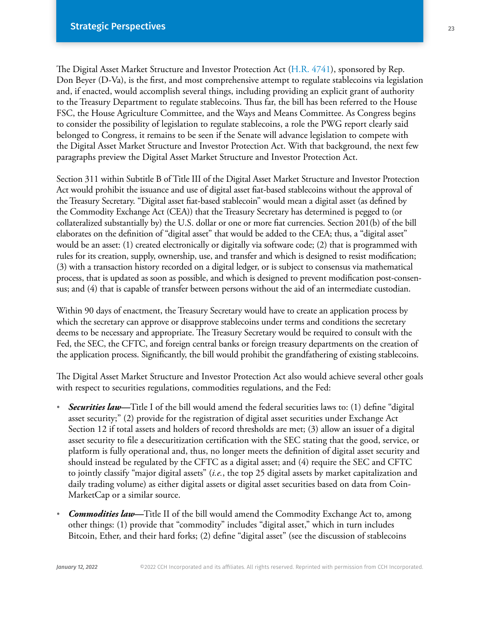The Digital Asset Market Structure and Investor Protection Act [\(H.R. 4741\)](https://www.congress.gov/117/bills/hr4741/BILLS-117hr4741ih.pdf), sponsored by Rep. Don Beyer (D-Va), is the first, and most comprehensive attempt to regulate stablecoins via legislation and, if enacted, would accomplish several things, including providing an explicit grant of authority to the Treasury Department to regulate stablecoins. Thus far, the bill has been referred to the House FSC, the House Agriculture Committee, and the Ways and Means Committee. As Congress begins to consider the possibility of legislation to regulate stablecoins, a role the PWG report clearly said belonged to Congress, it remains to be seen if the Senate will advance legislation to compete with the Digital Asset Market Structure and Investor Protection Act. With that background, the next few paragraphs preview the Digital Asset Market Structure and Investor Protection Act.

Section 311 within Subtitle B of Title III of the Digital Asset Market Structure and Investor Protection Act would prohibit the issuance and use of digital asset fiat-based stablecoins without the approval of the Treasury Secretary. "Digital asset fiat-based stablecoin" would mean a digital asset (as defined by the Commodity Exchange Act (CEA)) that the Treasury Secretary has determined is pegged to (or collateralized substantially by) the U.S. dollar or one or more fiat currencies. Section 201(b) of the bill elaborates on the definition of "digital asset" that would be added to the CEA; thus, a "digital asset" would be an asset: (1) created electronically or digitally via software code; (2) that is programmed with rules for its creation, supply, ownership, use, and transfer and which is designed to resist modification; (3) with a transaction history recorded on a digital ledger, or is subject to consensus via mathematical process, that is updated as soon as possible, and which is designed to prevent modification post-consensus; and (4) that is capable of transfer between persons without the aid of an intermediate custodian.

Within 90 days of enactment, the Treasury Secretary would have to create an application process by which the secretary can approve or disapprove stablecoins under terms and conditions the secretary deems to be necessary and appropriate. The Treasury Secretary would be required to consult with the Fed, the SEC, the CFTC, and foreign central banks or foreign treasury departments on the creation of the application process. Significantly, the bill would prohibit the grandfathering of existing stablecoins.

The Digital Asset Market Structure and Investor Protection Act also would achieve several other goals with respect to securities regulations, commodities regulations, and the Fed:

- **·** *Securities law—*Title I of the bill would amend the federal securities laws to: (1) define "digital asset security;" (2) provide for the registration of digital asset securities under Exchange Act Section 12 if total assets and holders of record thresholds are met; (3) allow an issuer of a digital asset security to file a desecuritization certification with the SEC stating that the good, service, or platform is fully operational and, thus, no longer meets the definition of digital asset security and should instead be regulated by the CFTC as a digital asset; and (4) require the SEC and CFTC to jointly classify "major digital assets" (*i.e.*, the top 25 digital assets by market capitalization and daily trading volume) as either digital assets or digital asset securities based on data from Coin-MarketCap or a similar source.
- **·** *Commodities law—*Title II of the bill would amend the Commodity Exchange Act to, among other things: (1) provide that "commodity" includes "digital asset," which in turn includes Bitcoin, Ether, and their hard forks; (2) define "digital asset" (see the discussion of stablecoins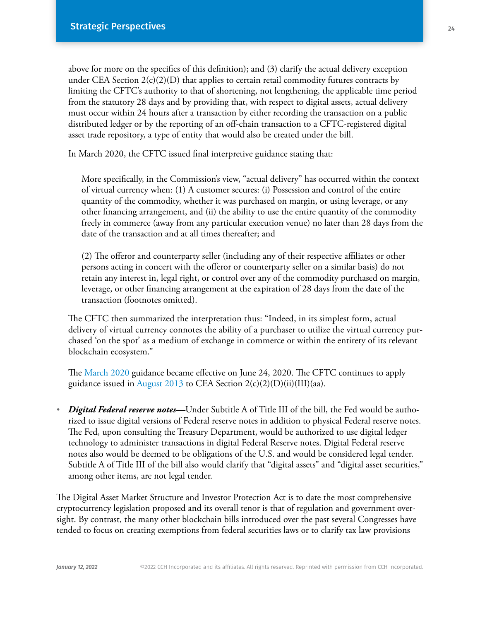above for more on the specifics of this definition); and (3) clarify the actual delivery exception under CEA Section  $2(c)(2)(D)$  that applies to certain retail commodity futures contracts by limiting the CFTC's authority to that of shortening, not lengthening, the applicable time period from the statutory 28 days and by providing that, with respect to digital assets, actual delivery must occur within 24 hours after a transaction by either recording the transaction on a public distributed ledger or by the reporting of an off-chain transaction to a CFTC-registered digital asset trade repository, a type of entity that would also be created under the bill.

In March 2020, the CFTC issued final interpretive guidance stating that:

 More specifically, in the Commission's view, ''actual delivery'' has occurred within the context of virtual currency when: (1) A customer secures: (i) Possession and control of the entire quantity of the commodity, whether it was purchased on margin, or using leverage, or any other financing arrangement, and (ii) the ability to use the entire quantity of the commodity freely in commerce (away from any particular execution venue) no later than 28 days from the date of the transaction and at all times thereafter; and

 (2) The offeror and counterparty seller (including any of their respective affiliates or other persons acting in concert with the offeror or counterparty seller on a similar basis) do not retain any interest in, legal right, or control over any of the commodity purchased on margin, leverage, or other financing arrangement at the expiration of 28 days from the date of the transaction (footnotes omitted).

The CFTC then summarized the interpretation thus: "Indeed, in its simplest form, actual delivery of virtual currency connotes the ability of a purchaser to utilize the virtual currency purchased 'on the spot' as a medium of exchange in commerce or within the entirety of its relevant blockchain ecosystem."

The [March 2020](https://www.cftc.gov/sites/default/files/2020/06/2020-11827a.pdf) guidance became effective on June 24, 2020. The CFTC continues to apply guidance issued in [August 2013](https://www.govinfo.gov/content/pkg/FR-2013-08-23/pdf/2013-20617.pdf) to CEA Section 2(c)(2)(D)(ii)(III)(aa).

**·** *Digital Federal reserve notes—*Under Subtitle A of Title III of the bill, the Fed would be authorized to issue digital versions of Federal reserve notes in addition to physical Federal reserve notes. The Fed, upon consulting the Treasury Department, would be authorized to use digital ledger technology to administer transactions in digital Federal Reserve notes. Digital Federal reserve notes also would be deemed to be obligations of the U.S. and would be considered legal tender. Subtitle A of Title III of the bill also would clarify that "digital assets" and "digital asset securities," among other items, are not legal tender.

The Digital Asset Market Structure and Investor Protection Act is to date the most comprehensive cryptocurrency legislation proposed and its overall tenor is that of regulation and government oversight. By contrast, the many other blockchain bills introduced over the past several Congresses have tended to focus on creating exemptions from federal securities laws or to clarify tax law provisions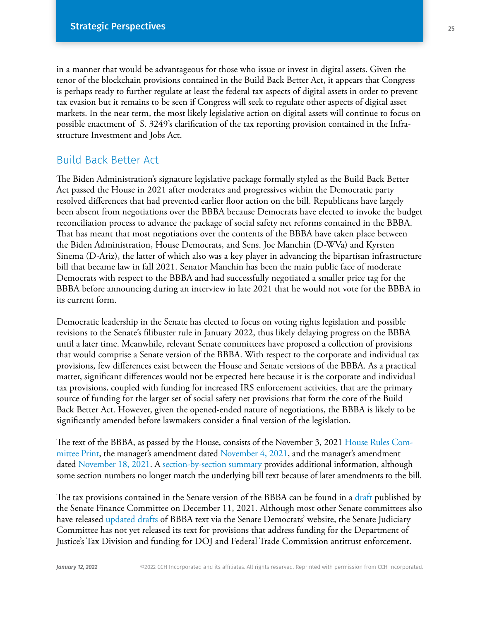in a manner that would be advantageous for those who issue or invest in digital assets. Given the tenor of the blockchain provisions contained in the Build Back Better Act, it appears that Congress is perhaps ready to further regulate at least the federal tax aspects of digital assets in order to prevent tax evasion but it remains to be seen if Congress will seek to regulate other aspects of digital asset markets. In the near term, the most likely legislative action on digital assets will continue to focus on possible enactment of S. 3249's clarification of the tax reporting provision contained in the Infrastructure Investment and Jobs Act.

## Build Back Better Act

The Biden Administration's signature legislative package formally styled as the Build Back Better Act passed the House in 2021 after moderates and progressives within the Democratic party resolved differences that had prevented earlier floor action on the bill. Republicans have largely been absent from negotiations over the BBBA because Democrats have elected to invoke the budget reconciliation process to advance the package of social safety net reforms contained in the BBBA. That has meant that most negotiations over the contents of the BBBA have taken place between the Biden Administration, House Democrats, and Sens. Joe Manchin (D-WVa) and Kyrsten Sinema (D-Ariz), the latter of which also was a key player in advancing the bipartisan infrastructure bill that became law in fall 2021. Senator Manchin has been the main public face of moderate Democrats with respect to the BBBA and had successfully negotiated a smaller price tag for the BBBA before announcing during an interview in late 2021 that he would not vote for the BBBA in its current form.

Democratic leadership in the Senate has elected to focus on voting rights legislation and possible revisions to the Senate's filibuster rule in January 2022, thus likely delaying progress on the BBBA until a later time. Meanwhile, relevant Senate committees have proposed a collection of provisions that would comprise a Senate version of the BBBA. With respect to the corporate and individual tax provisions, few differences exist between the House and Senate versions of the BBBA. As a practical matter, significant differences would not be expected here because it is the corporate and individual tax provisions, coupled with funding for increased IRS enforcement activities, that are the primary source of funding for the larger set of social safety net provisions that form the core of the Build Back Better Act. However, given the opened-ended nature of negotiations, the BBBA is likely to be significantly amended before lawmakers consider a final version of the legislation.

The text of the BBBA, as passed by the House, consists of the November 3, 2021 House Rules Committee Print, the manager's amendment dated November 4, 2021, and the manager's amendment dated November 18, 2021. A [section-by-section summary](https://rules.house.gov/sites/democrats.rules.house.gov/files/Section_by_Section_BBB_RCP117-18__.pdf) provides additional information, although some section numbers no longer match the underlying bill text because of later amendments to the bill.

The tax provisions contained in the Senate version of the BBBA can be found in a draft published by the Senate Finance Committee on December 11, 2021. Although most other Senate committees also have released [updated drafts](https://www.democrats.senate.gov/senate-committee-cbo-scores-for-build-back-better) of BBBA text via the Senate Democrats' website, the Senate Judiciary Committee has not yet released its text for provisions that address funding for the Department of Justice's Tax Division and funding for DOJ and Federal Trade Commission antitrust enforcement.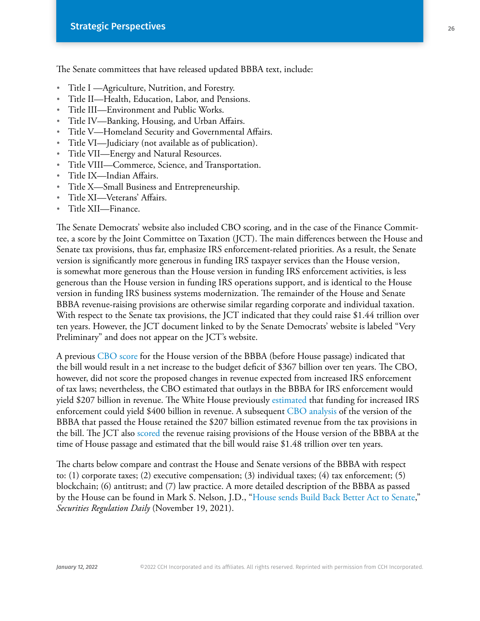The Senate committees that have released updated BBBA text, include:

- **·** Title I —Agriculture, Nutrition, and Forestry.
- **·** Title II—Health, Education, Labor, and Pensions.
- **·** Title III—Environment and Public Works.
- **·** Title IV—Banking, Housing, and Urban Affairs.
- **·** Title V—Homeland Security and Governmental Affairs.
- **·** Title VI—Judiciary (not available as of publication).
- **·** Title VII—Energy and Natural Resources.
- **·** Title VIII—Commerce, Science, and Transportation.
- **·** Title IX—Indian Affairs.
- **·** Title X—Small Business and Entrepreneurship.
- **·** Title XI—Veterans' Affairs.
- **·** Title XII—Finance.

The Senate Democrats' website also included CBO scoring, and in the case of the Finance Committee, a score by the Joint Committee on Taxation (JCT). The main differences between the House and Senate tax provisions, thus far, emphasize IRS enforcement-related priorities. As a result, the Senate version is significantly more generous in funding IRS taxpayer services than the House version, is somewhat more generous than the House version in funding IRS enforcement activities, is less generous than the House version in funding IRS operations support, and is identical to the House version in funding IRS business systems modernization. The remainder of the House and Senate BBBA revenue-raising provisions are otherwise similar regarding corporate and individual taxation. With respect to the Senate tax provisions, the JCT indicated that they could raise \$1.44 trillion over ten years. However, the JCT document linked to by the Senate Democrats' website is labeled "Very Preliminary" and does not appear on the JCT's website.

A previous [CBO score](https://www.cbo.gov/publication/57627) for the House version of the BBBA (before House passage) indicated that the bill would result in a net increase to the budget deficit of \$367 billion over ten years. The CBO, however, did not score the proposed changes in revenue expected from increased IRS enforcement of tax laws; nevertheless, the CBO estimated that outlays in the BBBA for IRS enforcement would yield \$207 billion in revenue. The White House previously [estimated](https://www.whitehouse.gov/briefing-room/statements-releases/2021/10/28/build-back-better-framework/) that funding for increased IRS enforcement could yield \$400 billion in revenue. A subsequent [CBO analysis](https://www.cbo.gov/publication/57676) of the version of the BBBA that passed the House retained the \$207 billion estimated revenue from the tax provisions in the bill. The JCT also [scored](https://www.jct.gov/publications/2021/jcx-46-21/) the revenue raising provisions of the House version of the BBBA at the time of House passage and estimated that the bill would raise \$1.48 trillion over ten years.

The charts below compare and contrast the House and Senate versions of the BBBA with respect to: (1) corporate taxes; (2) executive compensation; (3) individual taxes; (4) tax enforcement; (5) blockchain; (6) antitrust; and (7) law practice. A more detailed description of the BBBA as passed by the House can be found in Mark S. Nelson, J.D., ["House sends Build Back Better Act to Senate](https://business.cch.com/srd/SRD-MSN-BBBA-HousePassage-111921.pdf)," *Securities Regulation Daily* (November 19, 2021).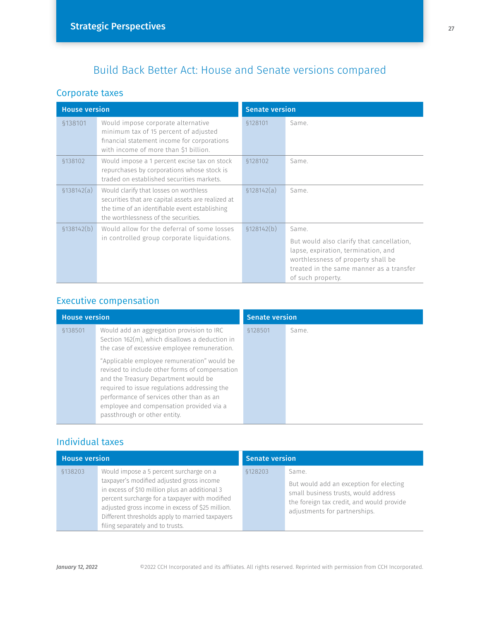## Build Back Better Act: House and Senate versions compared

#### Corporate taxes

| <b>House version</b> |                                                                                                                                                                                        | <b>Senate version</b> |                                                                                                                                                                                                  |
|----------------------|----------------------------------------------------------------------------------------------------------------------------------------------------------------------------------------|-----------------------|--------------------------------------------------------------------------------------------------------------------------------------------------------------------------------------------------|
| §138101              | Would impose corporate alternative<br>minimum tax of 15 percent of adjusted<br>financial statement income for corporations<br>with income of more than \$1 billion.                    | §128101               | Same.                                                                                                                                                                                            |
| §138102              | Would impose a 1 percent excise tax on stock<br>repurchases by corporations whose stock is<br>traded on established securities markets.                                                | \$128102              | Same.                                                                                                                                                                                            |
| \$138142(a)          | Would clarify that losses on worthless<br>securities that are capital assets are realized at<br>the time of an identifiable event establishing<br>the worthlessness of the securities. | \$128142(a)           | Same                                                                                                                                                                                             |
| \$138142(b)          | Would allow for the deferral of some losses<br>in controlled group corporate liquidations.                                                                                             | \$128142(b)           | Same.<br>But would also clarify that cancellation,<br>lapse, expiration, termination, and<br>worthlessness of property shall be<br>treated in the same manner as a transfer<br>of such property. |

## Executive compensation

| <b>House version</b> |                                                                                                                                                                                                                                                                                                               | <b>Senate version</b> |       |
|----------------------|---------------------------------------------------------------------------------------------------------------------------------------------------------------------------------------------------------------------------------------------------------------------------------------------------------------|-----------------------|-------|
| \$138501             | Would add an aggregation provision to IRC<br>Section 162(m), which disallows a deduction in<br>the case of excessive employee remuneration.                                                                                                                                                                   | §128501               | Same. |
|                      | "Applicable employee remuneration" would be<br>revised to include other forms of compensation<br>and the Treasury Department would be<br>required to issue regulations addressing the<br>performance of services other than as an<br>employee and compensation provided via a<br>passthrough or other entity. |                       |       |

## Individual taxes

| <b>House version</b> |                                                                                                                                                                                                                                                                                                                                     | <b>Senate version</b> |                                                                                                                                                                        |
|----------------------|-------------------------------------------------------------------------------------------------------------------------------------------------------------------------------------------------------------------------------------------------------------------------------------------------------------------------------------|-----------------------|------------------------------------------------------------------------------------------------------------------------------------------------------------------------|
| \$138203             | Would impose a 5 percent surcharge on a<br>taxpayer's modified adjusted gross income<br>in excess of \$10 million plus an additional 3<br>percent surcharge for a taxpayer with modified<br>adjusted gross income in excess of \$25 million.<br>Different thresholds apply to married taxpayers<br>filing separately and to trusts. | \$128203              | Same.<br>But would add an exception for electing<br>small business trusts, would address<br>the foreign tax credit, and would provide<br>adjustments for partnerships. |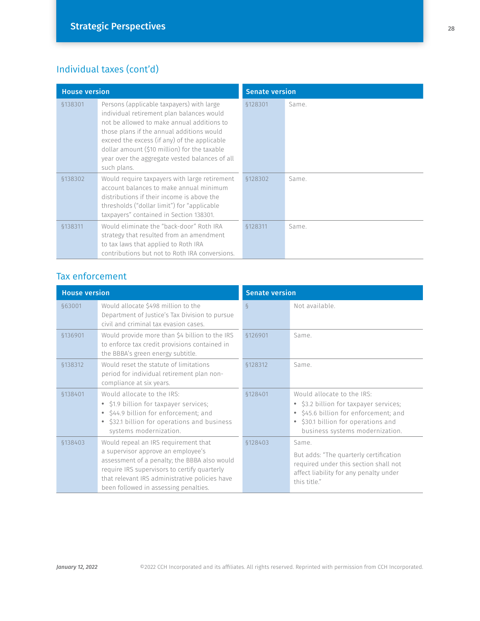## Individual taxes (cont'd)

| <b>House version</b> |                                                                                                                                                                                                                                                                                                                                                    | <b>Senate version</b> |       |
|----------------------|----------------------------------------------------------------------------------------------------------------------------------------------------------------------------------------------------------------------------------------------------------------------------------------------------------------------------------------------------|-----------------------|-------|
| \$138301             | Persons (applicable taxpayers) with large<br>individual retirement plan balances would<br>not be allowed to make annual additions to<br>those plans if the annual additions would<br>exceed the excess (if any) of the applicable<br>dollar amount (\$10 million) for the taxable<br>year over the aggregate vested balances of all<br>such plans. | §128301               | Same. |
| \$138302             | Would require taxpayers with large retirement<br>account balances to make annual minimum<br>distributions if their income is above the<br>thresholds ("dollar limit") for "applicable<br>taxpayers" contained in Section 138301.                                                                                                                   | \$128302              | Same. |
| \$138311             | Would eliminate the "back-door" Roth IRA<br>strategy that resulted from an amendment<br>to tax laws that applied to Roth IRA<br>contributions but not to Roth IRA conversions.                                                                                                                                                                     | \$128311              | Same. |

## Tax enforcement

| <b>House version</b> |                                                                                                                                                                                                                                                                       | <b>Senate version</b> |                                                                                                                                                                                         |
|----------------------|-----------------------------------------------------------------------------------------------------------------------------------------------------------------------------------------------------------------------------------------------------------------------|-----------------------|-----------------------------------------------------------------------------------------------------------------------------------------------------------------------------------------|
| §63001               | Would allocate \$498 million to the<br>Department of Justice's Tax Division to pursue<br>civil and criminal tax evasion cases.                                                                                                                                        | $\delta$              | Not available.                                                                                                                                                                          |
| §136901              | Would provide more than \$4 billion to the IRS<br>to enforce tax credit provisions contained in<br>the BBBA's green energy subtitle.                                                                                                                                  | \$126901              | Same.                                                                                                                                                                                   |
| §138312              | Would reset the statute of limitations<br>period for individual retirement plan non-<br>compliance at six years.                                                                                                                                                      | \$128312              | Same.                                                                                                                                                                                   |
| §138401              | Would allocate to the IRS:<br>• \$1.9 billion for taxpayer services;<br>• \$44.9 billion for enforcement; and<br>• \$32.1 billion for operations and business<br>systems modernization.                                                                               | \$128401              | Would allocate to the IRS:<br>• \$3.2 billion for taxpayer services;<br>• \$45.6 billion for enforcement; and<br>• \$30.1 billion for operations and<br>business systems modernization. |
| \$138403             | Would repeal an IRS requirement that<br>a supervisor approve an employee's<br>assessment of a penalty; the BBBA also would<br>require IRS supervisors to certify quarterly<br>that relevant IRS administrative policies have<br>been followed in assessing penalties. | \$128403              | Same.<br>But adds: "The quarterly certification<br>required under this section shall not<br>affect liability for any penalty under<br>this title."                                      |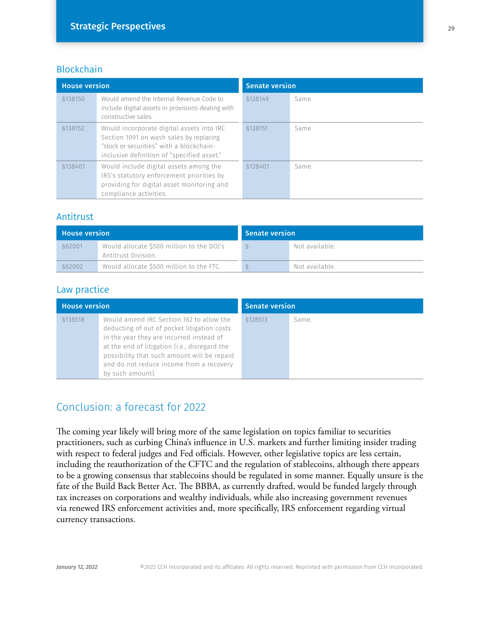#### **Blockchain**

| <b>House version</b> |                                                                                                                                                                                | <b>Senate version</b> |       |
|----------------------|--------------------------------------------------------------------------------------------------------------------------------------------------------------------------------|-----------------------|-------|
| §138150              | Would amend the Internal Revenue Code to<br>include digital assets in provisions dealing with<br>constructive sales.                                                           | \$128149              | Same. |
| \$138152             | Would incorporate digital assets into IRC<br>Section 1091 on wash sales by replacing<br>"stock or securities" with a blockchain-<br>inclusive definition of "specified asset." | \$128151              | Same. |
| §138401              | Would include digital assets among the<br>IRS's statutory enforcement priorities by<br>providing for digital asset monitoring and<br>compliance activities.                    | \$128401              | Same. |

#### Antitrust

| <b>House version</b> |                                                                  | Senate version   |                |
|----------------------|------------------------------------------------------------------|------------------|----------------|
| §62001               | Would allocate \$500 million to the DOJ's<br>Antitrust Division. | $\breve{\sigma}$ | Not available. |
| §62002               | Would allocate \$500 million to the FTC.                         |                  | Not available. |

#### Law practice

| <b>House version</b> |                                                                                                                                                                                                                                                                                                     | <b>Senate version</b> |       |
|----------------------|-----------------------------------------------------------------------------------------------------------------------------------------------------------------------------------------------------------------------------------------------------------------------------------------------------|-----------------------|-------|
| \$138518             | Would amend IRC Section 162 to allow the<br>deducting of out of pocket litigation costs<br>in the year they are incurred instead of<br>at the end of litigation (i.e., disregard the<br>possibility that such amount will be repaid<br>and do not reduce income from a recovery<br>by such amount). | \$128513              | Same. |

## Conclusion: a forecast for 2022

The coming year likely will bring more of the same legislation on topics familiar to securities practitioners, such as curbing China's influence in U.S. markets and further limiting insider trading with respect to federal judges and Fed officials. However, other legislative topics are less certain, including the reauthorization of the CFTC and the regulation of stablecoins, although there appears to be a growing consensus that stablecoins should be regulated in some manner. Equally unsure is the fate of the Build Back Better Act. The BBBA, as currently drafted, would be funded largely through tax increases on corporations and wealthy individuals, while also increasing government revenues via renewed IRS enforcement activities and, more specifically, IRS enforcement regarding virtual currency transactions.